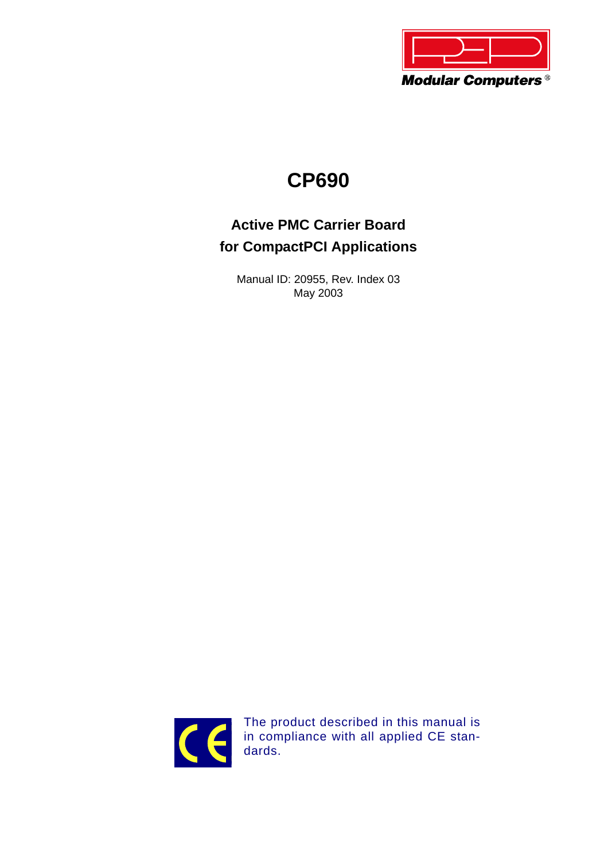

## **CP690**

### **Active PMC Carrier Board for CompactPCI Applications**

Manual ID: 20955, Rev. Index 03 May 2003



The product described in this manual is in compliance with all applied CE standards.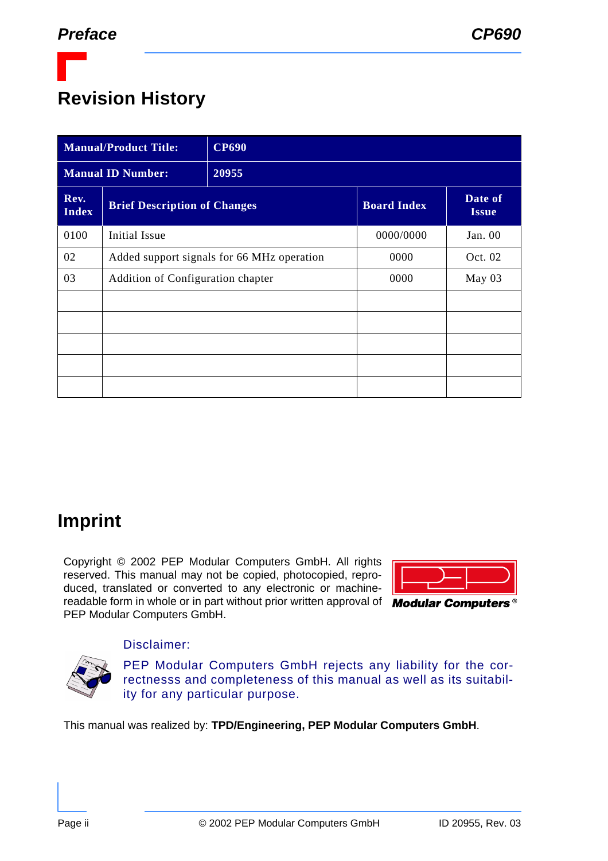# <span id="page-1-0"></span>**Revision History**

| <b>Manual/Product Title:</b> |                                            | <b>CP690</b> |                    |                         |  |  |
|------------------------------|--------------------------------------------|--------------|--------------------|-------------------------|--|--|
| <b>Manual ID Number:</b>     |                                            | 20955        |                    |                         |  |  |
| Rev.<br><b>Index</b>         | <b>Brief Description of Changes</b>        |              | <b>Board Index</b> | Date of<br><b>Issue</b> |  |  |
| 0100                         | <b>Initial Issue</b>                       |              | 0000/0000          | Jan. 00                 |  |  |
| 02                           | Added support signals for 66 MHz operation |              | 0000               | Oct. 02                 |  |  |
| 03                           | Addition of Configuration chapter          |              | 0000               | May 03                  |  |  |
|                              |                                            |              |                    |                         |  |  |
|                              |                                            |              |                    |                         |  |  |
|                              |                                            |              |                    |                         |  |  |
|                              |                                            |              |                    |                         |  |  |
|                              |                                            |              |                    |                         |  |  |

### <span id="page-1-1"></span>**Imprint**

Copyright © 2002 PEP Modular Computers GmbH. All rights reserved. This manual may not be copied, photocopied, reproduced, translated or converted to any electronic or machinereadable form in whole or in part without prior written approval of **Modular Computers**<sup>®</sup> PEP Modular Computers GmbH.





### Disclaimer:

PEP Modular Computers GmbH rejects any liability for the correctnesss and completeness of this manual as well as its suitability for any particular purpose.

This manual was realized by: **TPD/Engineering, PEP Modular Computers GmbH**.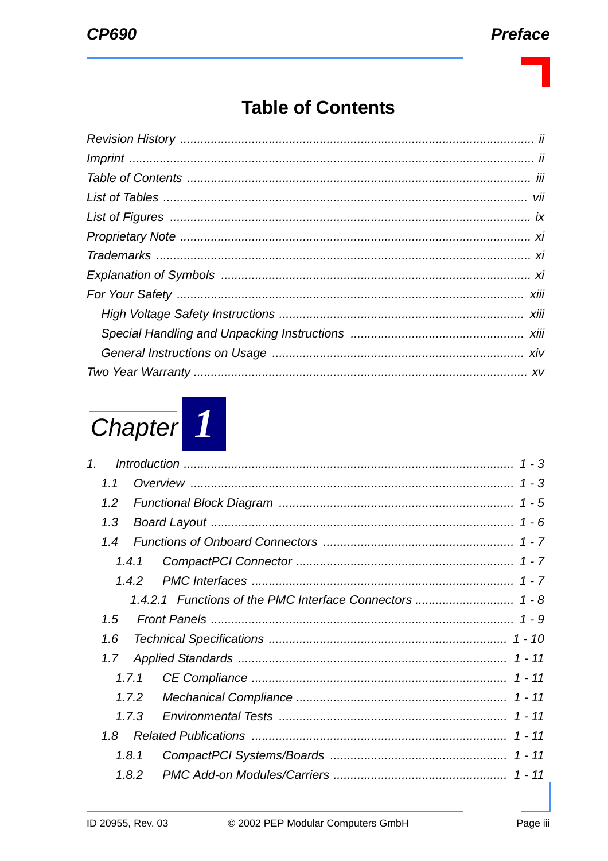

## **Table of Contents**

<span id="page-2-0"></span>

# Chapter 1

| 1. |               |         |  |
|----|---------------|---------|--|
|    | 1.1           |         |  |
|    | 1.2           |         |  |
|    | 1.3           |         |  |
|    | 1.4           |         |  |
|    |               | 1.4.1   |  |
|    |               | 1.4.2   |  |
|    |               |         |  |
|    | $1.5^{\circ}$ |         |  |
|    | 1.6           |         |  |
|    |               |         |  |
|    |               | 1, 7, 1 |  |
|    |               | 1.7.2   |  |
|    |               | 1,7.3   |  |
|    | 1.8           |         |  |
|    | 1.8.1         |         |  |
|    |               | 182     |  |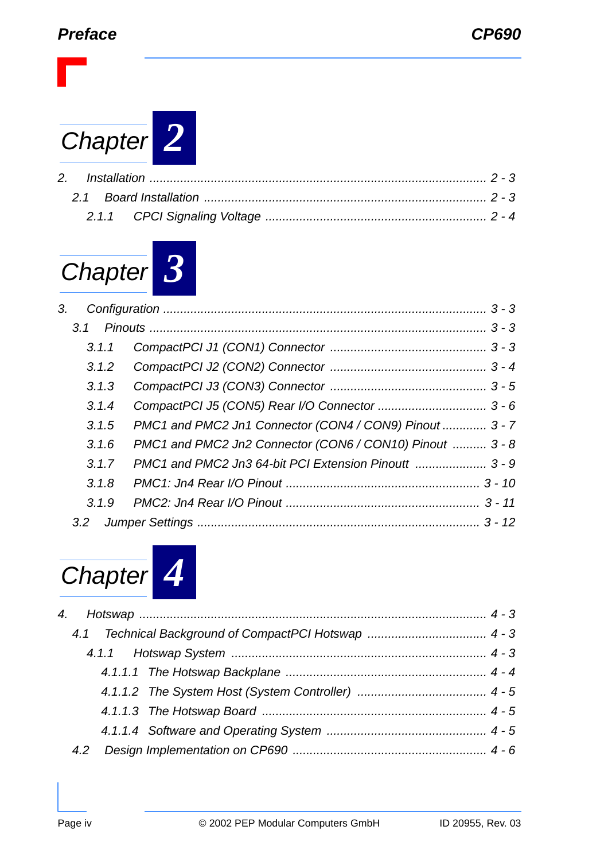





| 3. |       |                                                          |
|----|-------|----------------------------------------------------------|
|    | 3.1   |                                                          |
|    | 3.1.1 |                                                          |
|    | 3.1.2 |                                                          |
|    | 3.1.3 |                                                          |
|    | 3.1.4 |                                                          |
|    | 3.1.5 | PMC1 and PMC2 Jn1 Connector (CON4 / CON9) Pinout  3 - 7  |
|    | 3.1.6 | PMC1 and PMC2 Jn2 Connector (CON6 / CON10) Pinout  3 - 8 |
|    | 3.1.7 | PMC1 and PMC2 Jn3 64-bit PCI Extension Pinoutt  3 - 9    |
|    | 3.1.8 |                                                          |
|    | 3.1.9 |                                                          |
|    |       |                                                          |

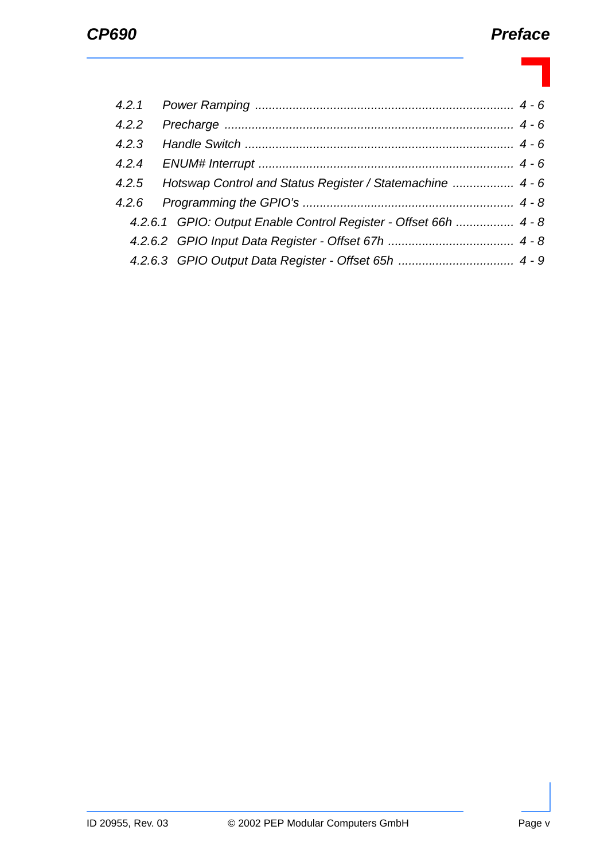| 4.2.2 |                                                                  |  |
|-------|------------------------------------------------------------------|--|
| 4.2.3 |                                                                  |  |
|       |                                                                  |  |
|       | 4.2.5 Hotswap Control and Status Register / Statemachine  4 - 6  |  |
| 4.2.6 |                                                                  |  |
|       | 4.2.6.1 GPIO: Output Enable Control Register - Offset 66h  4 - 8 |  |
|       |                                                                  |  |
|       |                                                                  |  |
|       |                                                                  |  |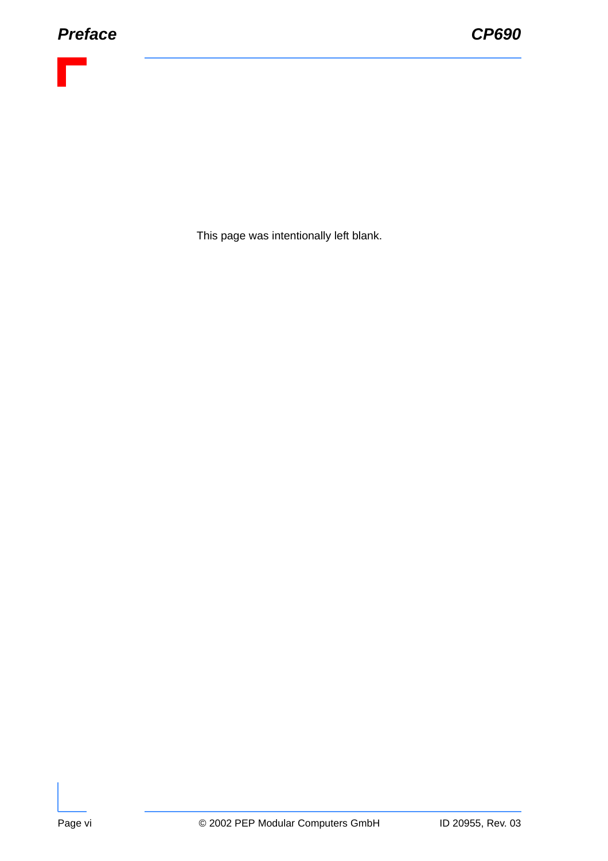This page was intentionally left blank.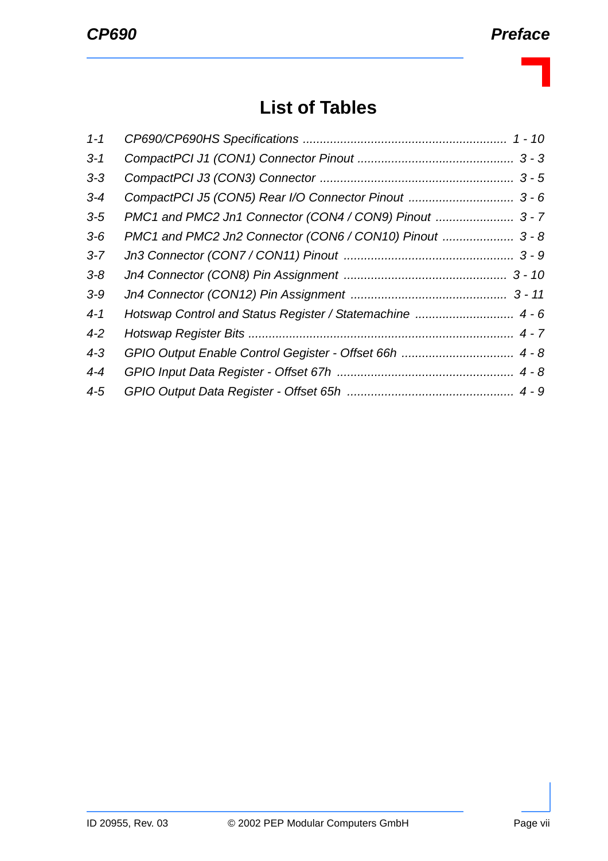### **List of Tables**

<span id="page-6-0"></span>

| $1 - 1$ |                                                           |
|---------|-----------------------------------------------------------|
| $3 - 1$ |                                                           |
| $3-3$   |                                                           |
| $3 - 4$ |                                                           |
| $3-5$   | PMC1 and PMC2 Jn1 Connector (CON4 / CON9) Pinout  3 - 7   |
| $3-6$   | PMC1 and PMC2 Jn2 Connector (CON6 / CON10) Pinout  3 - 8  |
| $3 - 7$ |                                                           |
| $3 - 8$ |                                                           |
| $3-9$   |                                                           |
| $4 - 1$ | Hotswap Control and Status Register / Statemachine  4 - 6 |
| $4 - 2$ |                                                           |
| $4 - 3$ |                                                           |
| $4 - 4$ |                                                           |
| $4 - 5$ |                                                           |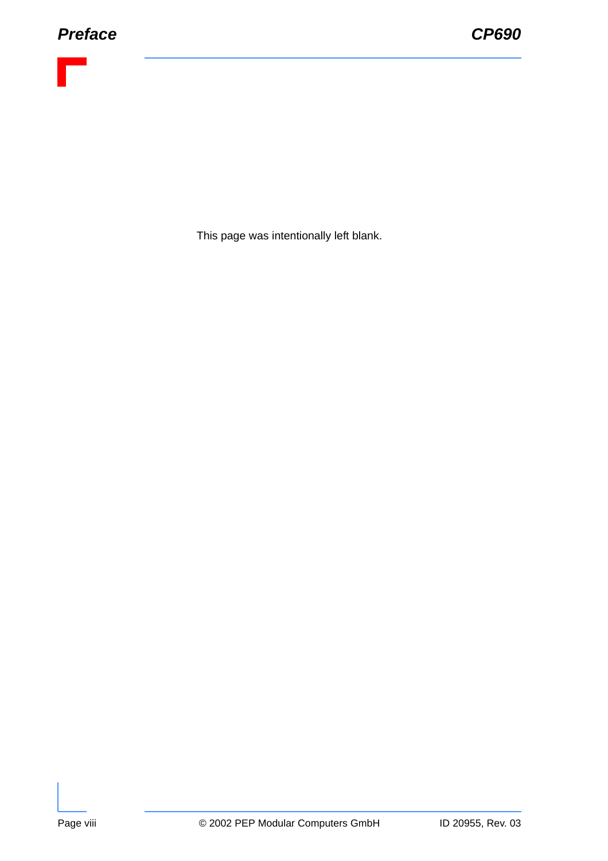This page was intentionally left blank.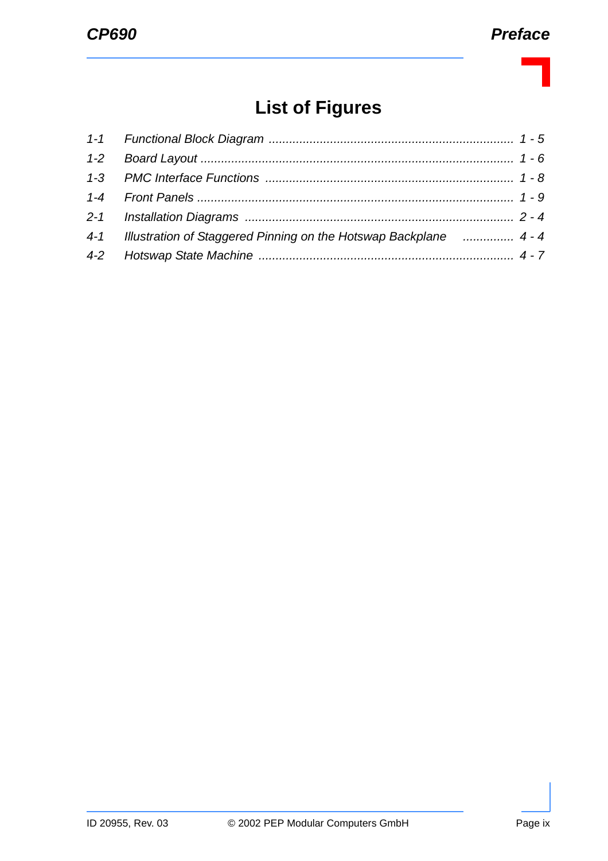# **List of Figures**

<span id="page-8-0"></span>

| 4-1 Illustration of Staggered Pinning on the Hotswap Backplane  4-4 |  |
|---------------------------------------------------------------------|--|
|                                                                     |  |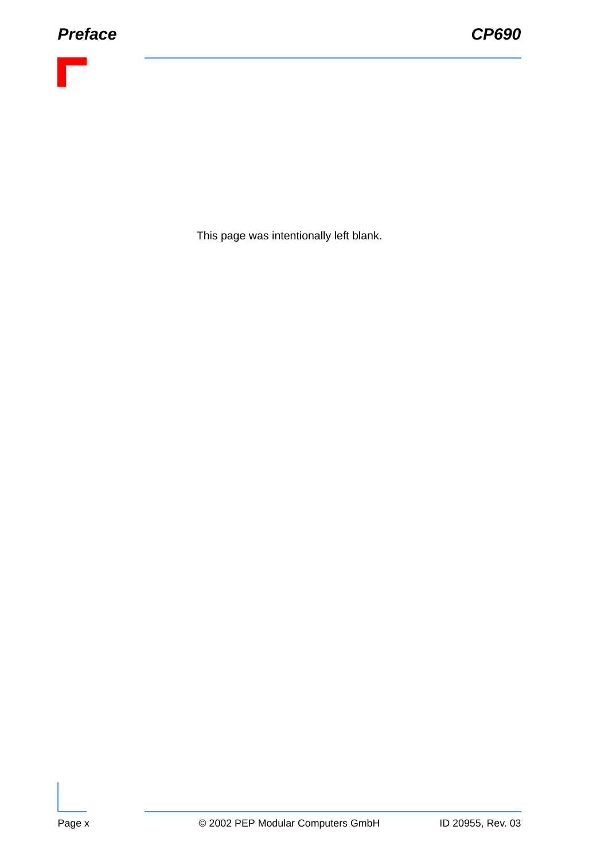This page was intentionally left blank.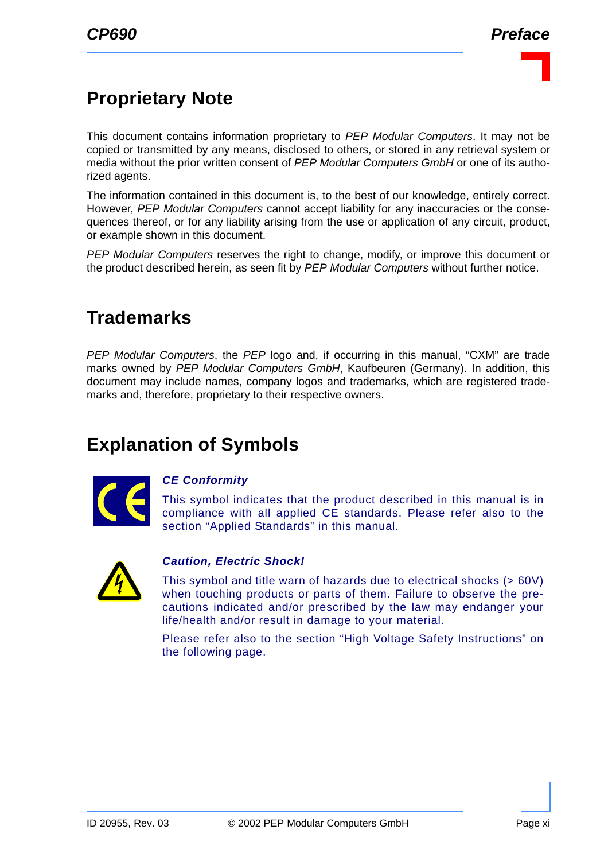

## <span id="page-10-0"></span>**Proprietary Note**

This document contains information proprietary to *PEP Modular Computers*. It may not be copied or transmitted by any means, disclosed to others, or stored in any retrieval system or media without the prior written consent of *PEP Modular Computers GmbH* or one of its authorized agents.

The information contained in this document is, to the best of our knowledge, entirely correct. However, *PEP Modular Computers* cannot accept liability for any inaccuracies or the consequences thereof, or for any liability arising from the use or application of any circuit, product, or example shown in this document.

*PEP Modular Computers* reserves the right to change, modify, or improve this document or the product described herein, as seen fit by *PEP Modular Computers* without further notice.

### <span id="page-10-1"></span>**Trademarks**

*PEP Modular Computers*, the *PEP* logo and, if occurring in this manual, "CXM" are trade marks owned by *PEP Modular Computers GmbH*, Kaufbeuren (Germany). In addition, this document may include names, company logos and trademarks, which are registered trademarks and, therefore, proprietary to their respective owners.

### <span id="page-10-2"></span>**Explanation of Symbols**



### *CE Conformity*

This symbol indicates that the product described in this manual is in compliance with all applied CE standards. Please refer also to the section "Applied Standards" in this manual.



### *Caution, Electric Shock!*

This symbol and title warn of hazards due to electrical shocks (> 60V) when touching products or parts of them. Failure to observe the precautions indicated and/or prescribed by the law may endanger your life/health and/or result in damage to your material.

Please refer also to the section "High Voltage Safety Instructions" on the following page.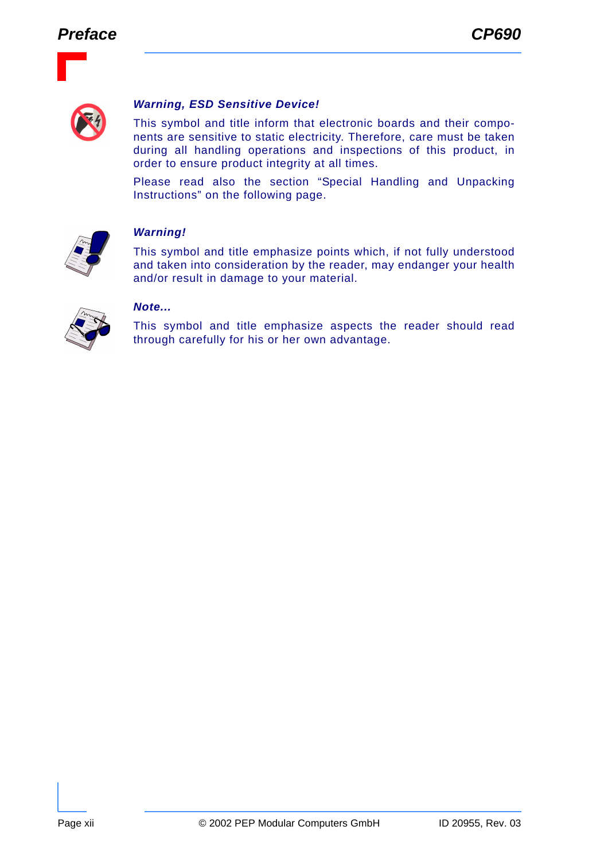

### *Warning, ESD Sensitive Device!*

This symbol and title inform that electronic boards and their components are sensitive to static electricity. Therefore, care must be taken during all handling operations and inspections of this product, in order to ensure product integrity at all times.

Please read also the section "Special Handling and Unpacking Instructions" on the following page.



#### *Warning!*

This symbol and title emphasize points which, if not fully understood and taken into consideration by the reader, may endanger your health and/or result in damage to your material.



### *Note...*

This symbol and title emphasize aspects the reader should read through carefully for his or her own advantage.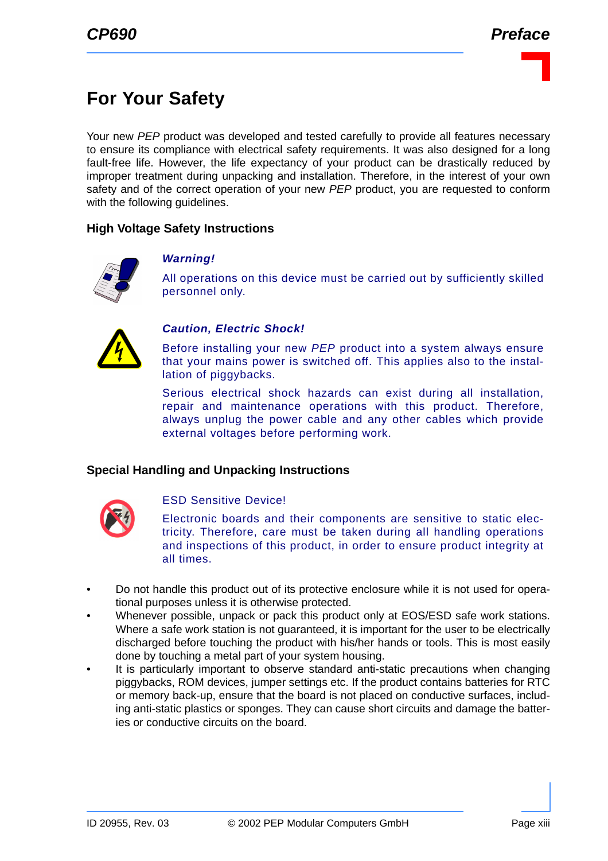<span id="page-12-0"></span>

Your new *PEP* product was developed and tested carefully to provide all features necessary to ensure its compliance with electrical safety requirements. It was also designed for a long fault-free life. However, the life expectancy of your product can be drastically reduced by improper treatment during unpacking and installation. Therefore, in the interest of your own safety and of the correct operation of your new *PEP* product, you are requested to conform with the following guidelines.

### <span id="page-12-1"></span>**High Voltage Safety Instructions**



### *Warning!*

All operations on this device must be carried out by sufficiently skilled personnel only.



#### *Caution, Electric Shock!*

Before installing your new *PEP* product into a system always ensure that your mains power is switched off. This applies also to the installation of piggybacks.

Serious electrical shock hazards can exist during all installation, repair and maintenance operations with this product. Therefore, always unplug the power cable and any other cables which provide external voltages before performing work.

### <span id="page-12-2"></span>**Special Handling and Unpacking Instructions**



#### ESD Sensitive Device!

Electronic boards and their components are sensitive to static electricity. Therefore, care must be taken during all handling operations and inspections of this product, in order to ensure product integrity at all times.

- Do not handle this product out of its protective enclosure while it is not used for operational purposes unless it is otherwise protected.
- Whenever possible, unpack or pack this product only at EOS/ESD safe work stations. Where a safe work station is not guaranteed, it is important for the user to be electrically discharged before touching the product with his/her hands or tools. This is most easily done by touching a metal part of your system housing.
- It is particularly important to observe standard anti-static precautions when changing piggybacks, ROM devices, jumper settings etc. If the product contains batteries for RTC or memory back-up, ensure that the board is not placed on conductive surfaces, including anti-static plastics or sponges. They can cause short circuits and damage the batteries or conductive circuits on the board.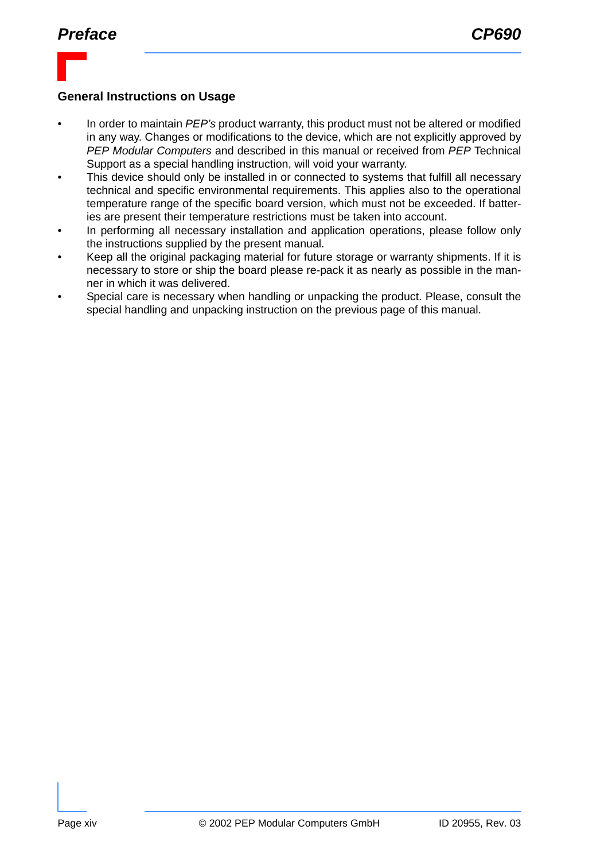

### <span id="page-13-0"></span>**General Instructions on Usage**

- In order to maintain *PEP's* product warranty, this product must not be altered or modified in any way. Changes or modifications to the device, which are not explicitly approved by *PEP Modular Computers* and described in this manual or received from *PEP* Technical Support as a special handling instruction, will void your warranty.
- This device should only be installed in or connected to systems that fulfill all necessary technical and specific environmental requirements. This applies also to the operational temperature range of the specific board version, which must not be exceeded. If batteries are present their temperature restrictions must be taken into account.
- In performing all necessary installation and application operations, please follow only the instructions supplied by the present manual.
- Keep all the original packaging material for future storage or warranty shipments. If it is necessary to store or ship the board please re-pack it as nearly as possible in the manner in which it was delivered.
- Special care is necessary when handling or unpacking the product. Please, consult the special handling and unpacking instruction on the previous page of this manual.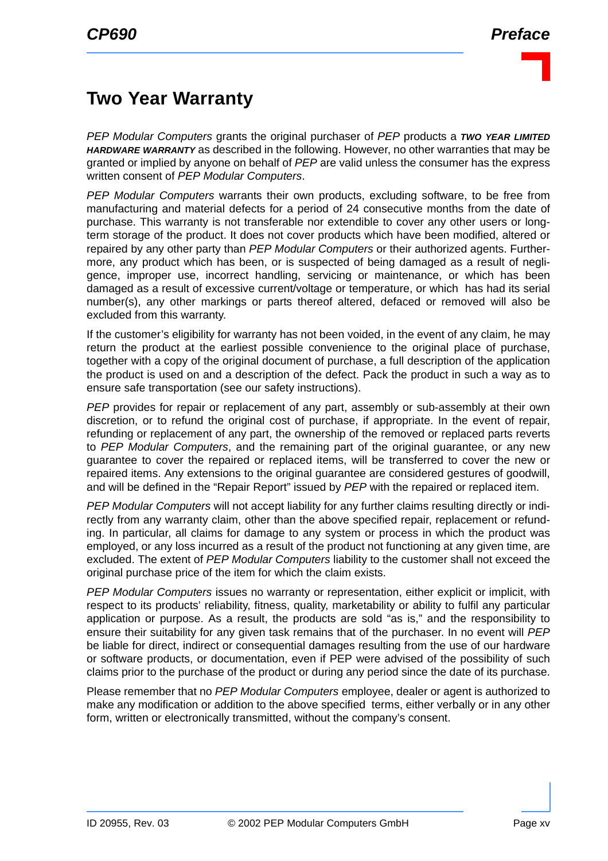### <span id="page-14-0"></span>**Two Year Warranty**

*PEP Modular Computers* grants the original purchaser of *PEP* products a *TWO YEAR LIMITED HARDWARE WARRANTY* as described in the following. However, no other warranties that may be granted or implied by anyone on behalf of *PEP* are valid unless the consumer has the express written consent of *PEP Modular Computers*.

*PEP Modular Computers* warrants their own products, excluding software, to be free from manufacturing and material defects for a period of 24 consecutive months from the date of purchase. This warranty is not transferable nor extendible to cover any other users or longterm storage of the product. It does not cover products which have been modified, altered or repaired by any other party than *PEP Modular Computers* or their authorized agents. Furthermore, any product which has been, or is suspected of being damaged as a result of negligence, improper use, incorrect handling, servicing or maintenance, or which has been damaged as a result of excessive current/voltage or temperature, or which has had its serial number(s), any other markings or parts thereof altered, defaced or removed will also be excluded from this warranty.

If the customer's eligibility for warranty has not been voided, in the event of any claim, he may return the product at the earliest possible convenience to the original place of purchase, together with a copy of the original document of purchase, a full description of the application the product is used on and a description of the defect. Pack the product in such a way as to ensure safe transportation (see our safety instructions).

*PEP* provides for repair or replacement of any part, assembly or sub-assembly at their own discretion, or to refund the original cost of purchase, if appropriate. In the event of repair, refunding or replacement of any part, the ownership of the removed or replaced parts reverts to *PEP Modular Computers*, and the remaining part of the original guarantee, or any new guarantee to cover the repaired or replaced items, will be transferred to cover the new or repaired items. Any extensions to the original guarantee are considered gestures of goodwill, and will be defined in the "Repair Report" issued by *PEP* with the repaired or replaced item.

*PEP Modular Computers* will not accept liability for any further claims resulting directly or indirectly from any warranty claim, other than the above specified repair, replacement or refunding. In particular, all claims for damage to any system or process in which the product was employed, or any loss incurred as a result of the product not functioning at any given time, are excluded. The extent of *PEP Modular Computers* liability to the customer shall not exceed the original purchase price of the item for which the claim exists.

*PEP Modular Computers* issues no warranty or representation, either explicit or implicit, with respect to its products' reliability, fitness, quality, marketability or ability to fulfil any particular application or purpose. As a result, the products are sold "as is," and the responsibility to ensure their suitability for any given task remains that of the purchaser. In no event will *PEP* be liable for direct, indirect or consequential damages resulting from the use of our hardware or software products, or documentation, even if PEP were advised of the possibility of such claims prior to the purchase of the product or during any period since the date of its purchase.

Please remember that no *PEP Modular Computers* employee, dealer or agent is authorized to make any modification or addition to the above specified terms, either verbally or in any other form, written or electronically transmitted, without the company's consent.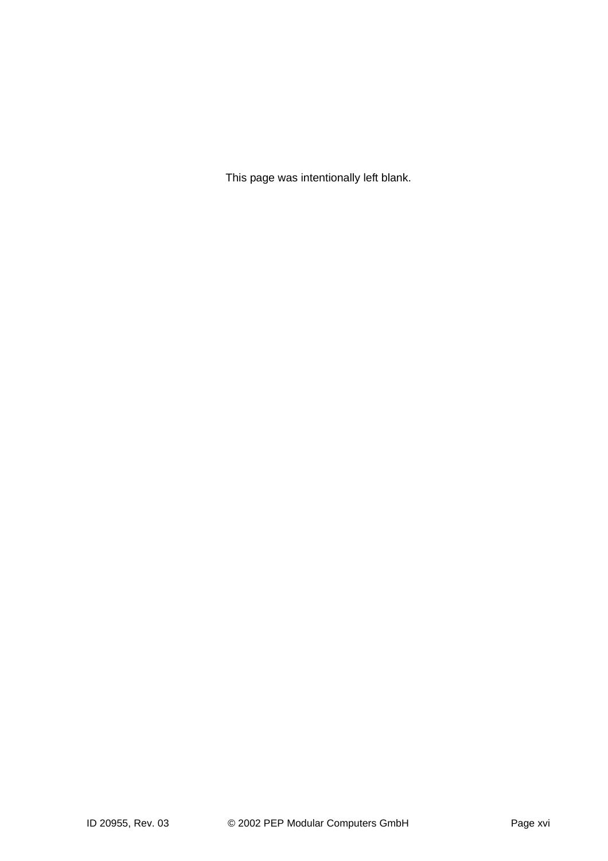This page was intentionally left blank.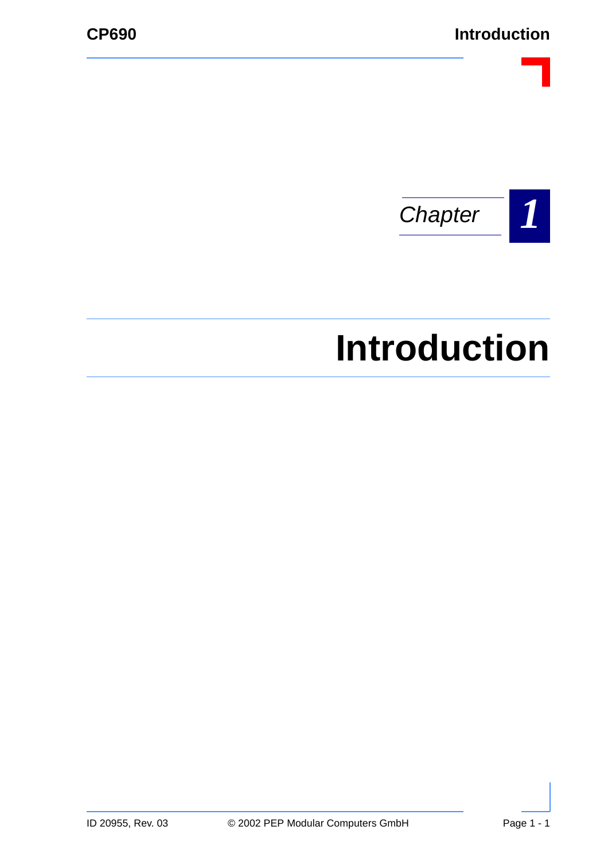

# **Introduction**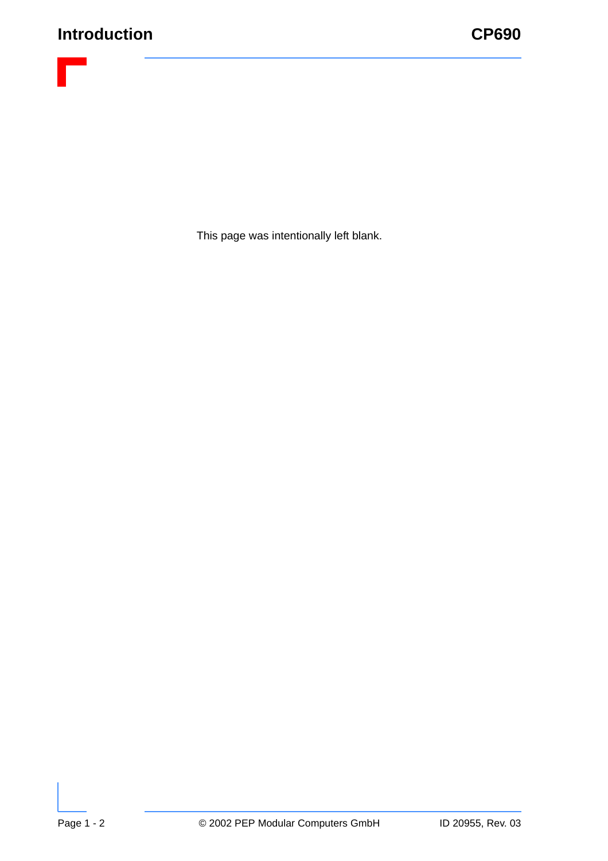### **Introduction CP690**



This page was intentionally left blank.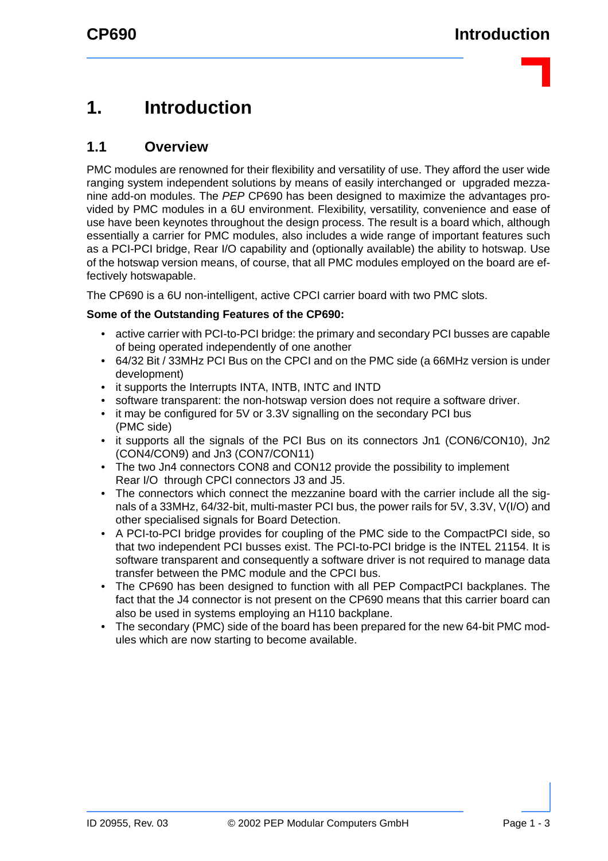### <span id="page-18-0"></span>**1. Introduction**

### <span id="page-18-1"></span>**1.1 Overview**

PMC modules are renowned for their flexibility and versatility of use. They afford the user wide ranging system independent solutions by means of easily interchanged or upgraded mezzanine add-on modules. The *PEP* CP690 has been designed to maximize the advantages provided by PMC modules in a 6U environment. Flexibility, versatility, convenience and ease of use have been keynotes throughout the design process. The result is a board which, although essentially a carrier for PMC modules, also includes a wide range of important features such as a PCI-PCI bridge, Rear I/O capability and (optionally available) the ability to hotswap. Use of the hotswap version means, of course, that all PMC modules employed on the board are effectively hotswapable.

The CP690 is a 6U non-intelligent, active CPCI carrier board with two PMC slots.

### **Some of the Outstanding Features of the CP690:**

- active carrier with PCI-to-PCI bridge: the primary and secondary PCI busses are capable of being operated independently of one another
- 64/32 Bit / 33MHz PCI Bus on the CPCI and on the PMC side (a 66MHz version is under development)
- it supports the Interrupts INTA, INTB, INTC and INTD
- software transparent: the non-hotswap version does not require a software driver.
- it may be configured for 5V or 3.3V signalling on the secondary PCI bus (PMC side)
- it supports all the signals of the PCI Bus on its connectors Jn1 (CON6/CON10), Jn2 (CON4/CON9) and Jn3 (CON7/CON11)
- The two Jn4 connectors CON8 and CON12 provide the possibility to implement Rear I/O through CPCI connectors J3 and J5.
- The connectors which connect the mezzanine board with the carrier include all the signals of a 33MHz, 64/32-bit, multi-master PCI bus, the power rails for 5V, 3.3V, V(I/O) and other specialised signals for Board Detection.
- A PCI-to-PCI bridge provides for coupling of the PMC side to the CompactPCI side, so that two independent PCI busses exist. The PCI-to-PCI bridge is the INTEL 21154. It is software transparent and consequently a software driver is not required to manage data transfer between the PMC module and the CPCI bus.
- The CP690 has been designed to function with all PEP CompactPCI backplanes. The fact that the J4 connector is not present on the CP690 means that this carrier board can also be used in systems employing an H110 backplane.
- The secondary (PMC) side of the board has been prepared for the new 64-bit PMC modules which are now starting to become available.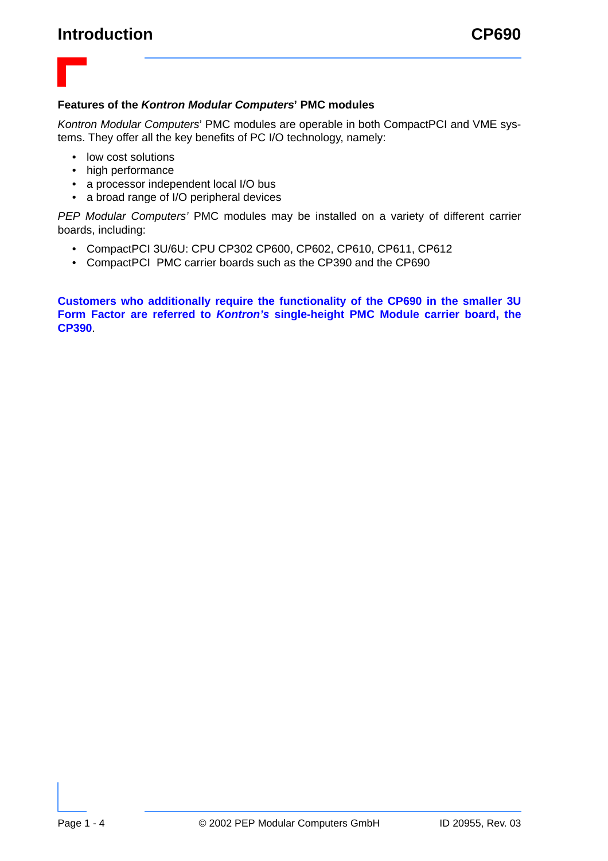### **Features of the** *Kontron Modular Computers***' PMC modules**

*Kontron Modular Computers*' PMC modules are operable in both CompactPCI and VME systems. They offer all the key benefits of PC I/O technology, namely:

- low cost solutions
- high performance
- a processor independent local I/O bus
- a broad range of I/O peripheral devices

*PEP Modular Computers'* PMC modules may be installed on a variety of different carrier boards, including:

- CompactPCI 3U/6U: CPU CP302 CP600, CP602, CP610, CP611, CP612
- CompactPCI PMC carrier boards such as the CP390 and the CP690

**Customers who additionally require the functionality of the CP690 in the smaller 3U Form Factor are referred to** *Kontron's* **single-height PMC Module carrier board, the CP390**.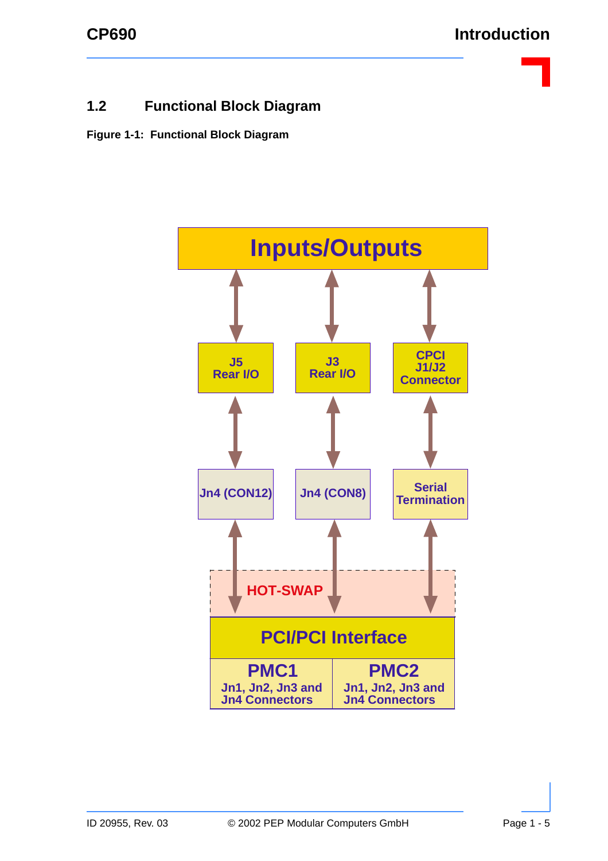

### <span id="page-20-0"></span>**1.2 Functional Block Diagram**

<span id="page-20-1"></span>**Figure 1-1: Functional Block Diagram**

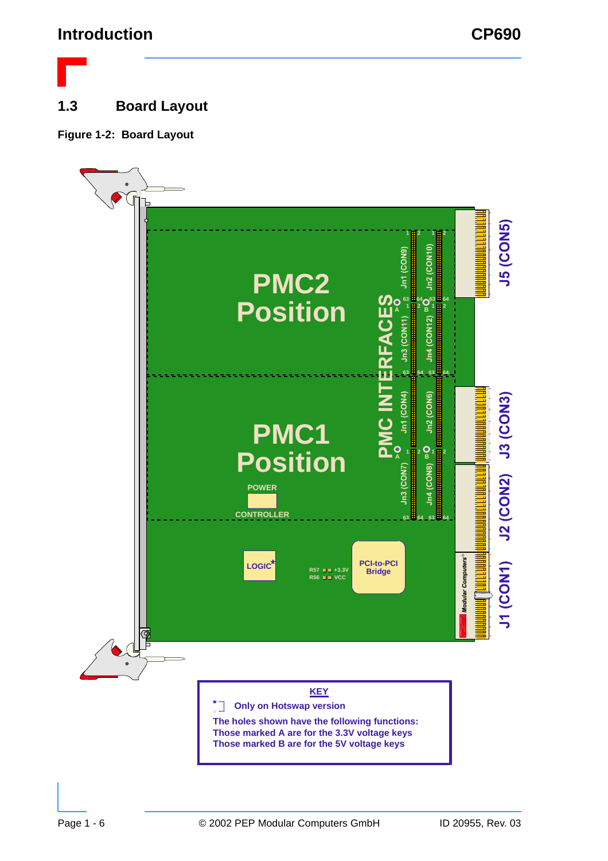<span id="page-21-0"></span>

<span id="page-21-1"></span>**Figure 1-2: Board Layout**

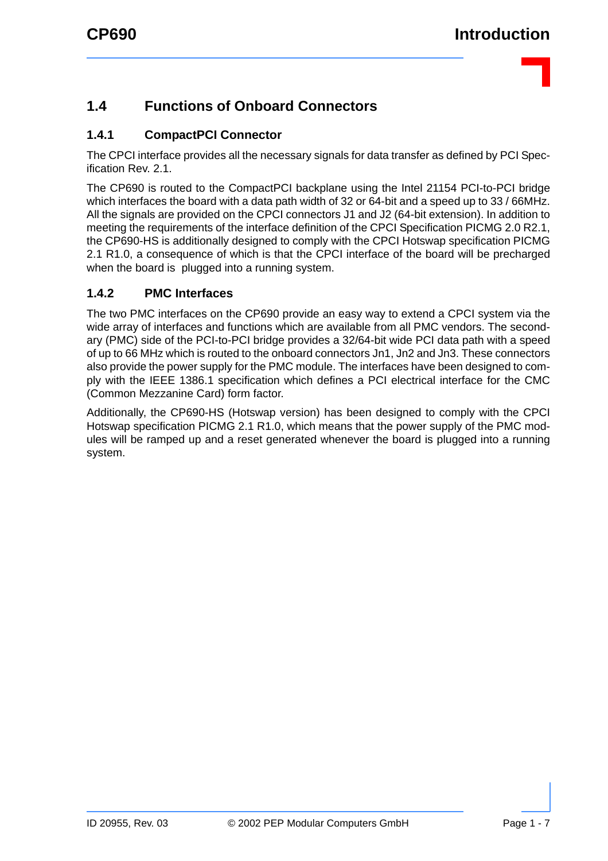

### <span id="page-22-0"></span>**1.4 Functions of Onboard Connectors**

### <span id="page-22-1"></span>**1.4.1 CompactPCI Connector**

The CPCI interface provides all the necessary signals for data transfer as defined by PCI Specification Rev. 2.1.

The CP690 is routed to the CompactPCI backplane using the Intel 21154 PCI-to-PCI bridge which interfaces the board with a data path width of 32 or 64-bit and a speed up to 33 / 66MHz. All the signals are provided on the CPCI connectors J1 and J2 (64-bit extension). In addition to meeting the requirements of the interface definition of the CPCI Specification PICMG 2.0 R2.1, the CP690-HS is additionally designed to comply with the CPCI Hotswap specification PICMG 2.1 R1.0, a consequence of which is that the CPCI interface of the board will be precharged when the board is plugged into a running system.

### <span id="page-22-2"></span>**1.4.2 PMC Interfaces**

The two PMC interfaces on the CP690 provide an easy way to extend a CPCI system via the wide array of interfaces and functions which are available from all PMC vendors. The secondary (PMC) side of the PCI-to-PCI bridge provides a 32/64-bit wide PCI data path with a speed of up to 66 MHz which is routed to the onboard connectors Jn1, Jn2 and Jn3. These connectors also provide the power supply for the PMC module. The interfaces have been designed to comply with the IEEE 1386.1 specification which defines a PCI electrical interface for the CMC (Common Mezzanine Card) form factor.

Additionally, the CP690-HS (Hotswap version) has been designed to comply with the CPCI Hotswap specification PICMG 2.1 R1.0, which means that the power supply of the PMC modules will be ramped up and a reset generated whenever the board is plugged into a running system.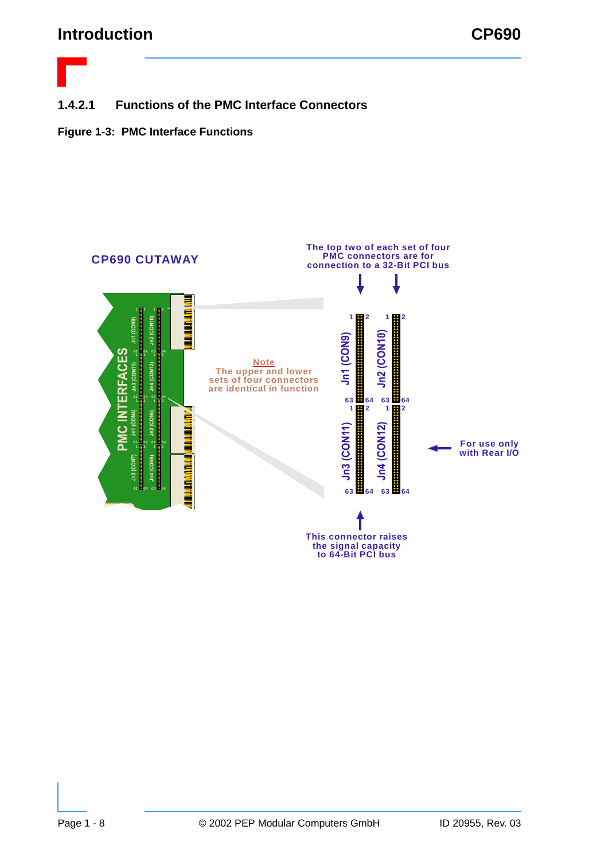### **Introduction CP690**

### <span id="page-23-0"></span>**1.4.2.1 Functions of the PMC Interface Connectors**

#### <span id="page-23-1"></span>**Figure 1-3: PMC Interface Functions**

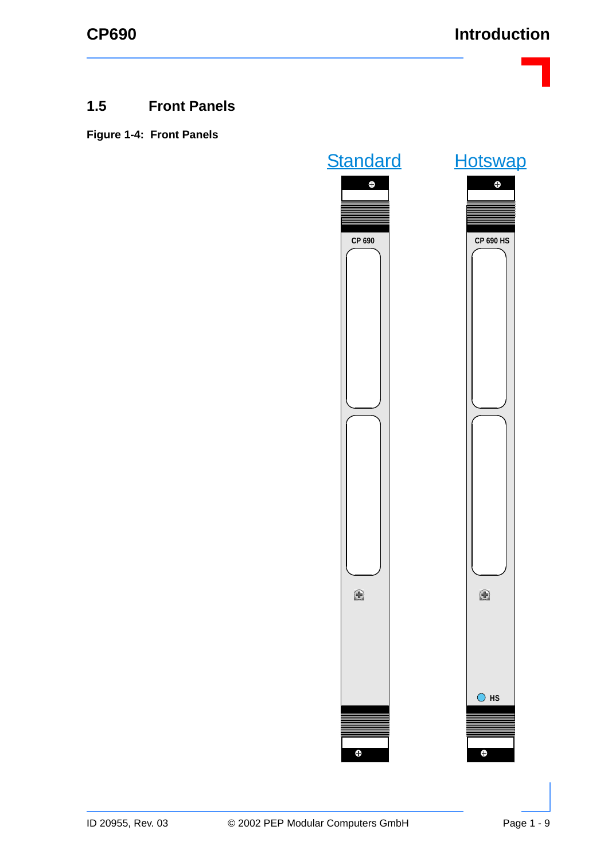

### <span id="page-24-0"></span>**1.5 Front Panels**

<span id="page-24-1"></span>**Figure 1-4: Front Panels**

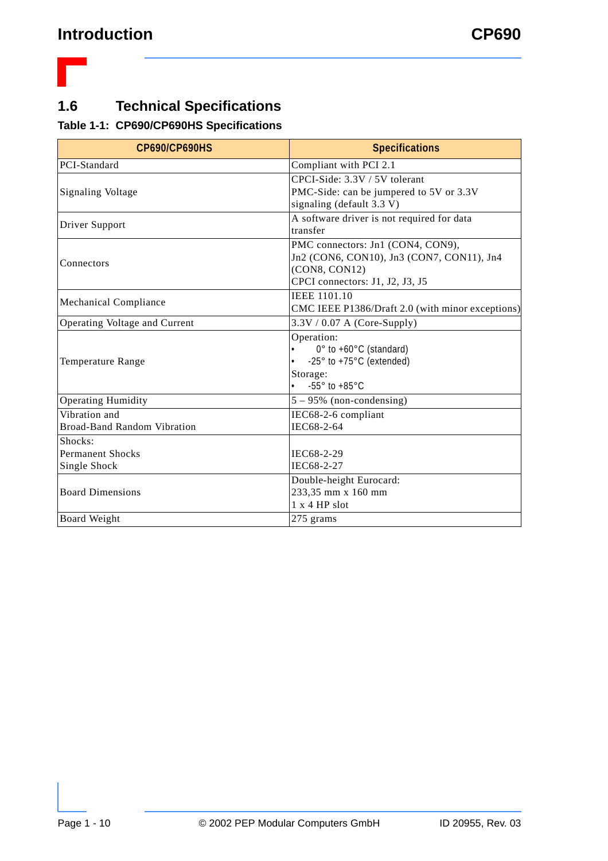### <span id="page-25-0"></span>**1.6 Technical Specifications**

### <span id="page-25-1"></span>**Table 1-1: CP690/CP690HS Specifications**

| <b>CP690/CP690HS</b>                                | <b>Specifications</b>                                                                                                                                 |
|-----------------------------------------------------|-------------------------------------------------------------------------------------------------------------------------------------------------------|
| PCI-Standard                                        | Compliant with PCI 2.1                                                                                                                                |
| <b>Signaling Voltage</b>                            | CPCI-Side: 3.3V / 5V tolerant<br>PMC-Side: can be jumpered to 5V or 3.3V<br>signaling (default 3.3 V)                                                 |
| Driver Support                                      | A software driver is not required for data<br>transfer                                                                                                |
| Connectors                                          | PMC connectors: Jn1 (CON4, CON9),<br>Jn2 (CON6, CON10), Jn3 (CON7, CON11), Jn4<br>(CON8, CON12)<br>CPCI connectors: J1, J2, J3, J5                    |
| Mechanical Compliance                               | <b>IEEE 1101.10</b><br>CMC IEEE P1386/Draft 2.0 (with minor exceptions)                                                                               |
| Operating Voltage and Current                       | $3.3V / 0.07 A (Core-Supply)$                                                                                                                         |
| Temperature Range                                   | Operation:<br>$0^{\circ}$ to +60 $^{\circ}$ C (standard)<br>$-25^\circ$ to $+75^\circ$ C (extended)<br>Storage:<br>-55 $^{\circ}$ to +85 $^{\circ}$ C |
| <b>Operating Humidity</b>                           | $5 - 95\%$ (non-condensing)                                                                                                                           |
| Vibration and<br><b>Broad-Band Random Vibration</b> | IEC68-2-6 compliant<br>IEC68-2-64                                                                                                                     |
| Shocks:<br><b>Permanent Shocks</b><br>Single Shock  | IEC68-2-29<br>IEC68-2-27                                                                                                                              |
| <b>Board Dimensions</b>                             | Double-height Eurocard:<br>233,35 mm x 160 mm<br>$1 x 4 HP$ slot                                                                                      |
| <b>Board Weight</b>                                 | 275 grams                                                                                                                                             |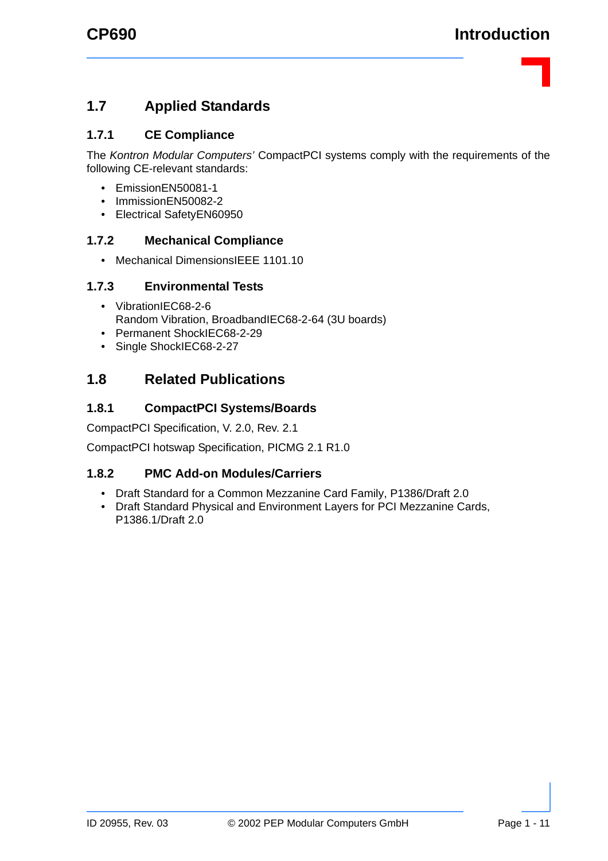

### <span id="page-26-0"></span>**1.7 Applied Standards**

### <span id="page-26-1"></span>**1.7.1 CE Compliance**

The *Kontron Modular Computers'* CompactPCI systems comply with the requirements of the following CE-relevant standards:

- EmissionEN50081-1
- ImmissionEN50082-2
- Electrical SafetyEN60950

### <span id="page-26-2"></span>**1.7.2 Mechanical Compliance**

• Mechanical DimensionsIEEE 1101.10

#### <span id="page-26-3"></span>**1.7.3 Environmental Tests**

- VibrationIEC68-2-6 Random Vibration, BroadbandIEC68-2-64 (3U boards)
- Permanent ShockIEC68-2-29
- Single ShockIEC68-2-27

### <span id="page-26-4"></span>**1.8 Related Publications**

### <span id="page-26-5"></span>**1.8.1 CompactPCI Systems/Boards**

CompactPCI Specification, V. 2.0, Rev. 2.1

CompactPCI hotswap Specification, PICMG 2.1 R1.0

### <span id="page-26-6"></span>**1.8.2 PMC Add-on Modules/Carriers**

- Draft Standard for a Common Mezzanine Card Family, P1386/Draft 2.0
- Draft Standard Physical and Environment Layers for PCI Mezzanine Cards, P1386.1/Draft 2.0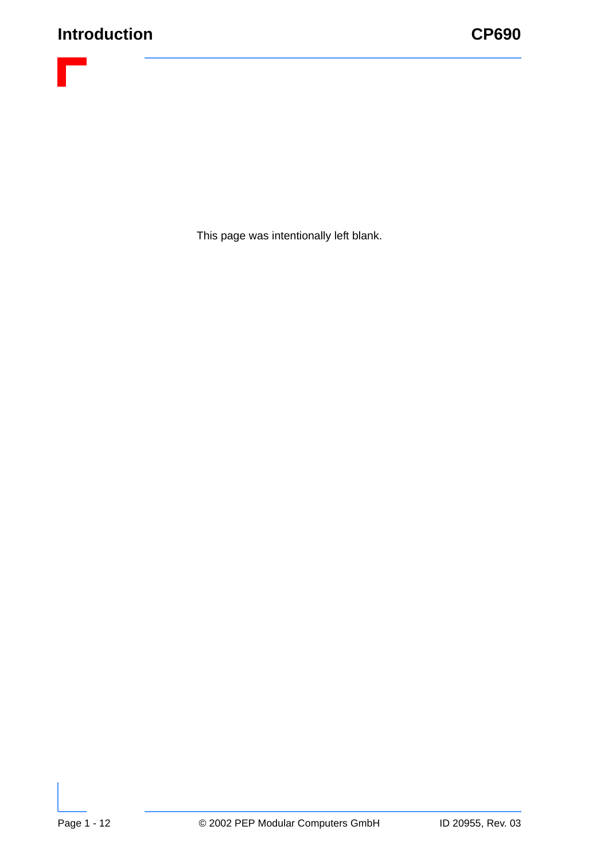### **Introduction CP690**



This page was intentionally left blank.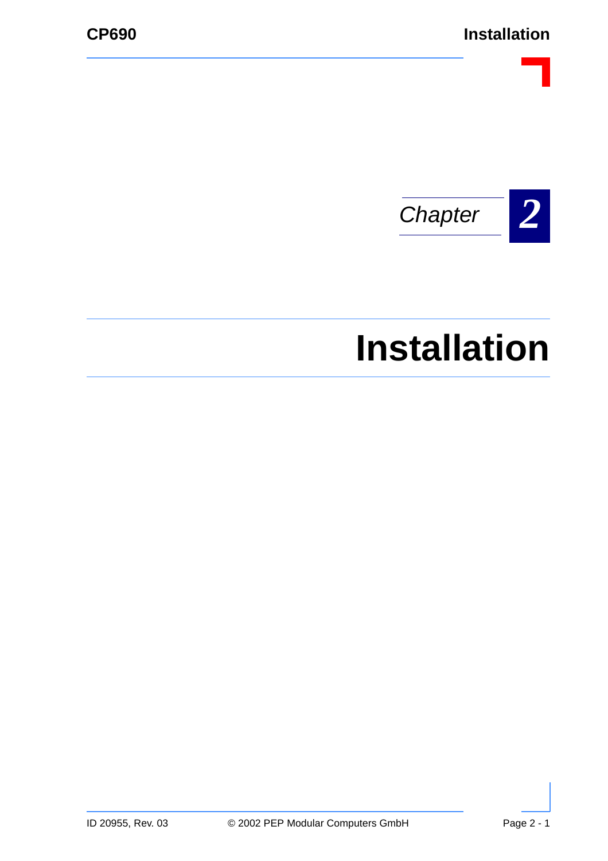

# **Installation**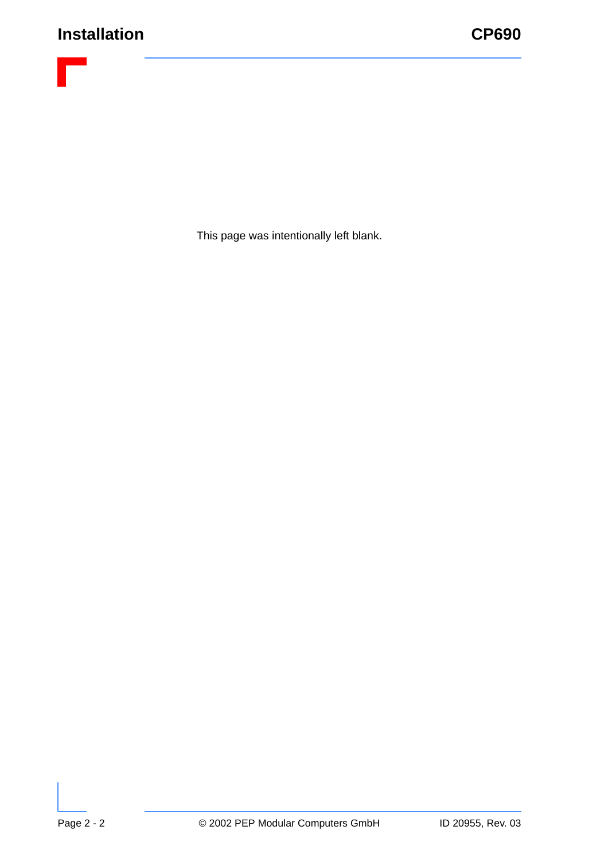### **Installation CP690**



This page was intentionally left blank.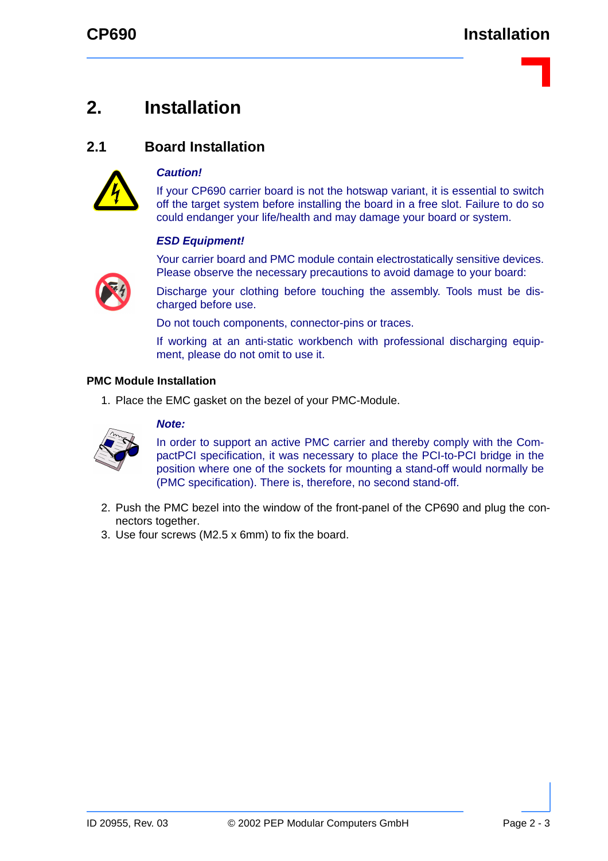

### <span id="page-30-0"></span>**2. Installation**

### <span id="page-30-1"></span>**2.1 Board Installation**



### *Caution!*

If your CP690 carrier board is not the hotswap variant, it is essential to switch off the target system before installing the board in a free slot. Failure to do so could endanger your life/health and may damage your board or system.

#### *ESD Equipment!*

Your carrier board and PMC module contain electrostatically sensitive devices. Please observe the necessary precautions to avoid damage to your board:

Discharge your clothing before touching the assembly. Tools must be discharged before use.

Do not touch components, connector-pins or traces.

If working at an anti-static workbench with professional discharging equipment, please do not omit to use it.

#### **PMC Module Installation**

1. Place the EMC gasket on the bezel of your PMC-Module.



#### *Note:*

In order to support an active PMC carrier and thereby comply with the CompactPCI specification, it was necessary to place the PCI-to-PCI bridge in the position where one of the sockets for mounting a stand-off would normally be (PMC specification). There is, therefore, no second stand-off.

- 2. Push the PMC bezel into the window of the front-panel of the CP690 and plug the connectors together.
- 3. Use four screws (M2.5 x 6mm) to fix the board.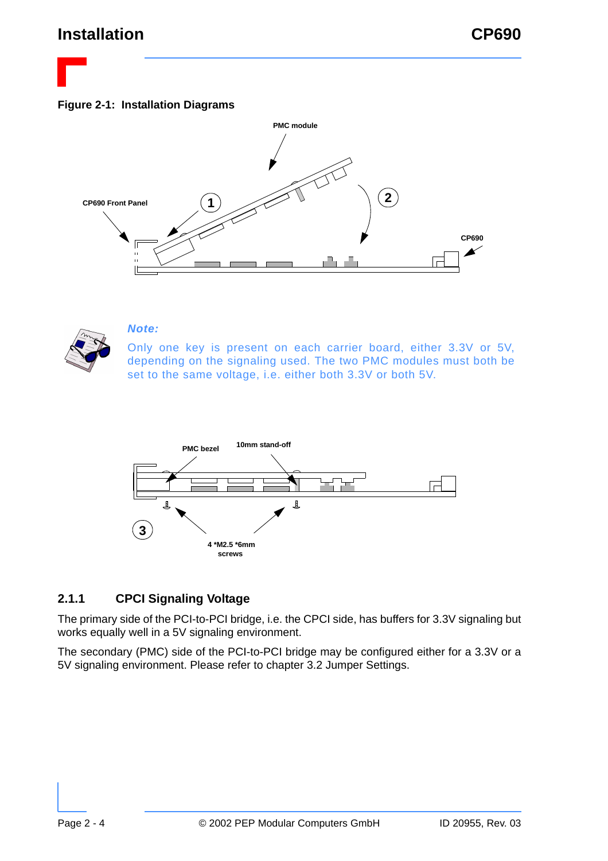### <span id="page-31-1"></span>**Figure 2-1: Installation Diagrams**





### *Note:*

Only one key is present on each carrier board, either 3.3V or 5V, depending on the signaling used. The two PMC modules must both be set to the same voltage, i.e. either both 3.3V or both 5V.



### <span id="page-31-0"></span>**2.1.1 CPCI Signaling Voltage**

The primary side of the PCI-to-PCI bridge, i.e. the CPCI side, has buffers for 3.3V signaling but works equally well in a 5V signaling environment.

The secondary (PMC) side of the PCI-to-PCI bridge may be configured either for a 3.3V or a 5V signaling environment. Please refer to chapter 3.2 Jumper Settings.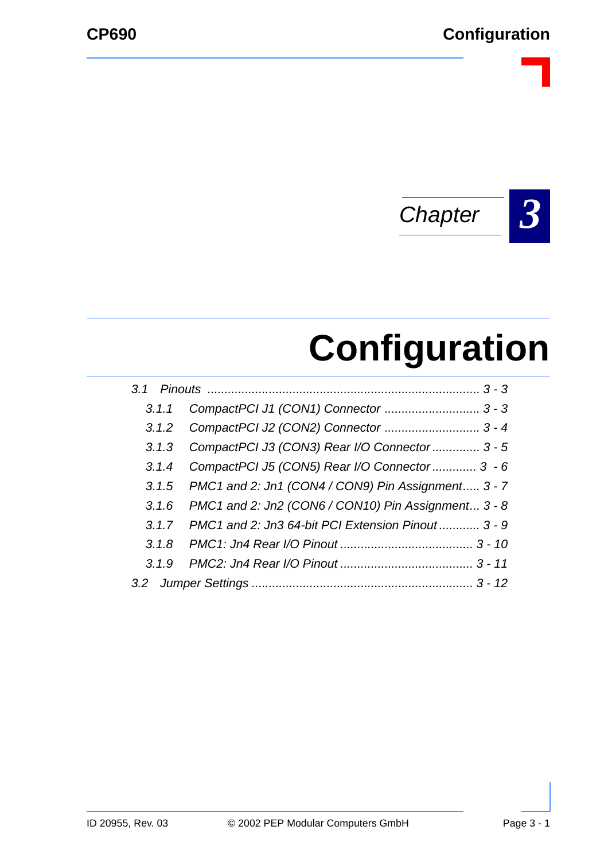

# **Configuration**

| 3.1.1 | CompactPCI J1 (CON1) Connector  3 - 3                    |
|-------|----------------------------------------------------------|
|       |                                                          |
| 3.1.3 | CompactPCI J3 (CON3) Rear I/O Connector  3 - 5           |
| 3.1.4 | CompactPCI J5 (CON5) Rear I/O Connector  3 - 6           |
|       | 3.1.5 PMC1 and 2: Jn1 (CON4 / CON9) Pin Assignment 3 - 7 |
| 3.1.6 | PMC1 and 2: Jn2 (CON6 / CON10) Pin Assignment 3 - 8      |
|       | 3.1.7 PMC1 and 2: Jn3 64-bit PCI Extension Pinout 3 - 9  |
|       |                                                          |
|       |                                                          |
|       |                                                          |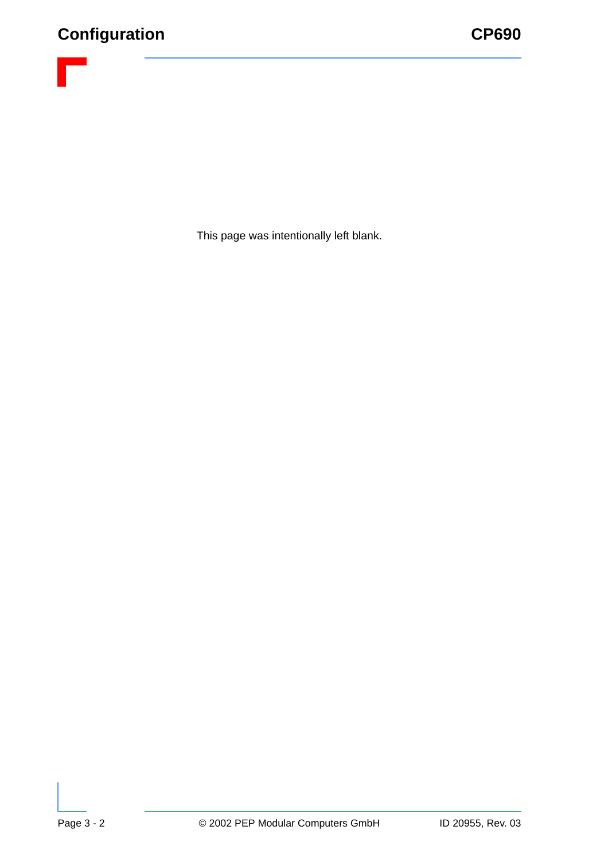## **Configuration CP690**



This page was intentionally left blank.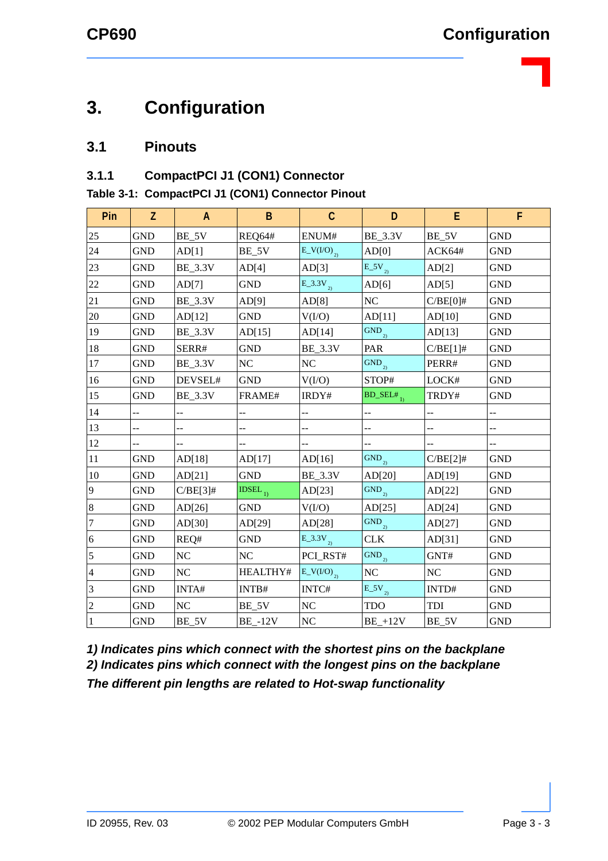

## <span id="page-34-0"></span>**3. Configuration**

### <span id="page-34-1"></span>**3.1 Pinouts**

### <span id="page-34-2"></span>**3.1.1 CompactPCI J1 (CON1) Connector**

### <span id="page-34-3"></span>**Table 3-1: CompactPCI J1 (CON1) Connector Pinout**

| Pin            | Z                    | $\mathbf{A}$   | B              | $\mathbf{C}$              | D                        | E           | F          |
|----------------|----------------------|----------------|----------------|---------------------------|--------------------------|-------------|------------|
| 25             | <b>GND</b>           | BE_5V          | REQ64#         | ENUM#                     | BE_3.3V                  | BE_5V       | <b>GND</b> |
| 24             | <b>GND</b>           | AD[1]          | BE_5V          | $E/V( I/O)$ <sub>2)</sub> | AD[0]                    | ACK64#      | <b>GND</b> |
| 23             | <b>GND</b>           | <b>BE_3.3V</b> | AD[4]          | AD[3]                     | $E_5V_2$                 | AD[2]       | <b>GND</b> |
| 22             | <b>GND</b>           | AD[7]          | <b>GND</b>     | $E_3.3V_2$                | AD[6]                    | AD[5]       | <b>GND</b> |
| 21             | <b>GND</b>           | <b>BE_3.3V</b> | AD[9]          | AD[8]                     | NC                       | $C/BE[0]\#$ | <b>GND</b> |
| 20             | <b>GND</b>           | AD[12]         | <b>GND</b>     | V(I/O)                    | AD[11]                   | AD[10]      | <b>GND</b> |
| 19             | $\operatorname{GND}$ | BE_3.3V        | AD[15]         | AD[14]                    | $GND_{2}$                | AD[13]      | <b>GND</b> |
| 18             | <b>GND</b>           | SERR#          | <b>GND</b>     | BE_3.3V                   | PAR                      | $C/BE[1]$ # | <b>GND</b> |
| 17             | <b>GND</b>           | BE_3.3V        | NC             | NC                        | $GND$ <sub>2)</sub>      | PERR#       | <b>GND</b> |
| 16             | <b>GND</b>           | DEVSEL#        | <b>GND</b>     | V(I/O)                    | STOP#                    | LOCK#       | <b>GND</b> |
| 15             | <b>GND</b>           | <b>BE_3.3V</b> | FRAME#         | IRDY#                     | $BD\_SEL#$ <sub>1)</sub> | TRDY#       | <b>GND</b> |
| 14             | $\overline{a}$       | 44             |                |                           |                          |             |            |
| 13             | --                   | --             | Ξ.             | --                        | --                       |             | --         |
| 12             |                      |                |                |                           |                          |             |            |
| 11             | <b>GND</b>           | AD[18]         | AD[17]         | AD[16]                    | $GND_{2}$                | $C/BE[2]\#$ | <b>GND</b> |
| 10             | $\operatorname{GND}$ | AD[21]         | <b>GND</b>     | BE_3.3V                   | AD[20]                   | AD[19]      | <b>GND</b> |
| 9              | <b>GND</b>           | $C/BE[3]$ #    | $IDSEL_{1)}$   | AD[23]                    | $GND_{2)}$               | AD[22]      | <b>GND</b> |
| $\,8\,$        | <b>GND</b>           | AD[26]         | <b>GND</b>     | V(I/O)                    | AD[25]                   | AD[24]      | <b>GND</b> |
| $\overline{7}$ | <b>GND</b>           | AD[30]         | AD[29]         | AD[28]                    | $GND_{_{2)}}$            | AD[27]      | <b>GND</b> |
| $6\,$          | <b>GND</b>           | REQ#           | <b>GND</b>     | $E_3.3V_2$                | <b>CLK</b>               | AD[31]      | <b>GND</b> |
| 5              | <b>GND</b>           | NC             | NC             | PCI_RST#                  | $GND$ <sub>2)</sub>      | GNT#        | <b>GND</b> |
| $\overline{4}$ | <b>GND</b>           | NC             | HEALTHY#       | $E/V(IO)$ <sub>2)</sub>   | $\rm NC$                 | NC          | <b>GND</b> |
| $\mathfrak{Z}$ | <b>GND</b>           | INTA#          | INTB#          | INTC#                     | $E_{5}V_{2}$             | INTD#       | <b>GND</b> |
| $\sqrt{2}$     | <b>GND</b>           | NC             | BE_5V          | N <sub>C</sub>            | <b>TDO</b>               | TDI         | <b>GND</b> |
| $\mathbf{1}$   | <b>GND</b>           | BE_5V          | <b>BE_-12V</b> | NC                        | $BE_{-}+12V$             | BE_5V       | <b>GND</b> |

*1) Indicates pins which connect with the shortest pins on the backplane 2) Indicates pins which connect with the longest pins on the backplane The different pin lengths are related to Hot-swap functionality*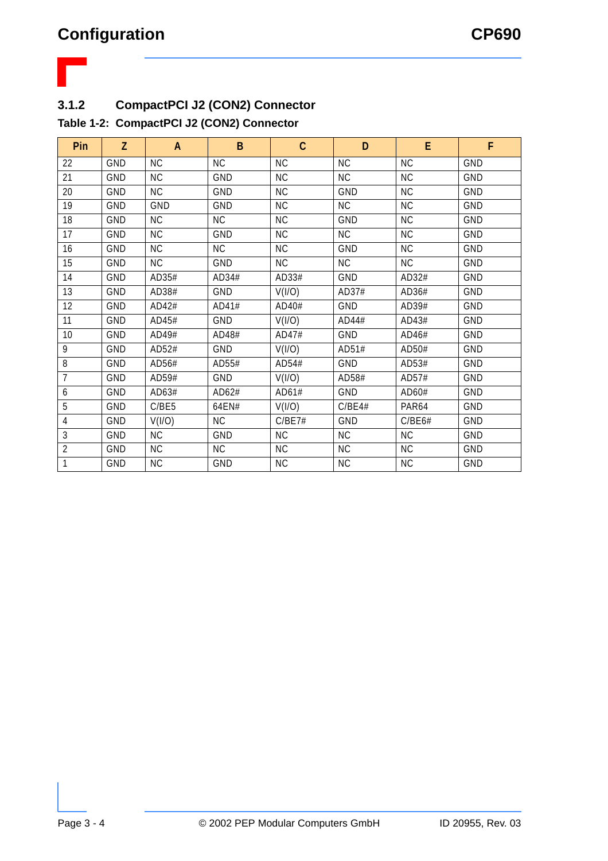

### <span id="page-35-0"></span>**3.1.2 CompactPCI J2 (CON2) Connector**

### **Table 1-2: CompactPCI J2 (CON2) Connector**

| Pin            | Z          | $\mathbf{A}$ | B         | $\mathsf{C}$ | D         | E                 | F          |
|----------------|------------|--------------|-----------|--------------|-----------|-------------------|------------|
| 22             | <b>GND</b> | <b>NC</b>    | <b>NC</b> | <b>NC</b>    | NC        | <b>NC</b>         | <b>GND</b> |
| 21             | <b>GND</b> | <b>NC</b>    | GND       | NC           | NC        | <b>NC</b>         | <b>GND</b> |
| 20             | GND        | <b>NC</b>    | GND       | NC           | GND       | NC                | GND        |
| 19             | <b>GND</b> | GND          | GND       | NC           | NC        | <b>NC</b>         | <b>GND</b> |
| 18             | <b>GND</b> | <b>NC</b>    | <b>NC</b> | NC           | GND       | <b>NC</b>         | <b>GND</b> |
| 17             | GND        | NC           | GND       | NC           | NC        | <b>NC</b>         | GND        |
| 16             | <b>GND</b> | <b>NC</b>    | <b>NC</b> | NC           | GND       | <b>NC</b>         | <b>GND</b> |
| 15             | GND        | <b>NC</b>    | GND       | <b>NC</b>    | NC        | <b>NC</b>         | GND        |
| 14             | <b>GND</b> | AD35#        | AD34#     | AD33#        | GND       | AD32#             | <b>GND</b> |
| 13             | <b>GND</b> | AD38#        | GND       | V(1/O)       | AD37#     | AD36#             | <b>GND</b> |
| 12             | <b>GND</b> | AD42#        | AD41#     | AD40#        | GND       | AD39#             | GND        |
| 11             | <b>GND</b> | AD45#        | GND       | V(1/O)       | AD44#     | AD43#             | <b>GND</b> |
| 10             | GND        | AD49#        | AD48#     | AD47#        | GND       | AD46#             | GND        |
| 9              | <b>GND</b> | AD52#        | GND       | V(1/O)       | AD51#     | AD50#             | <b>GND</b> |
| 8              | <b>GND</b> | AD56#        | AD55#     | AD54#        | GND       | AD53#             | <b>GND</b> |
| 7              | <b>GND</b> | AD59#        | GND       | V(1/O)       | AD58#     | AD57#             | GND        |
| 6              | <b>GND</b> | AD63#        | AD62#     | AD61#        | GND       | AD60#             | <b>GND</b> |
| 5              | GND        | C/BE5        | 64EN#     | V(1/O)       | C/BE4#    | PAR <sub>64</sub> | GND        |
| $\overline{4}$ | <b>GND</b> | V(1/O)       | NC        | C/BE7#       | GND       | C/BE6#            | GND        |
| 3              | <b>GND</b> | NC           | GND       | NC           | NC        | <b>NC</b>         | <b>GND</b> |
| $\overline{2}$ | <b>GND</b> | <b>NC</b>    | NC        | NC           | NC        | <b>NC</b>         | <b>GND</b> |
| 1              | <b>GND</b> | <b>NC</b>    | GND       | <b>NC</b>    | <b>NC</b> | <b>NC</b>         | <b>GND</b> |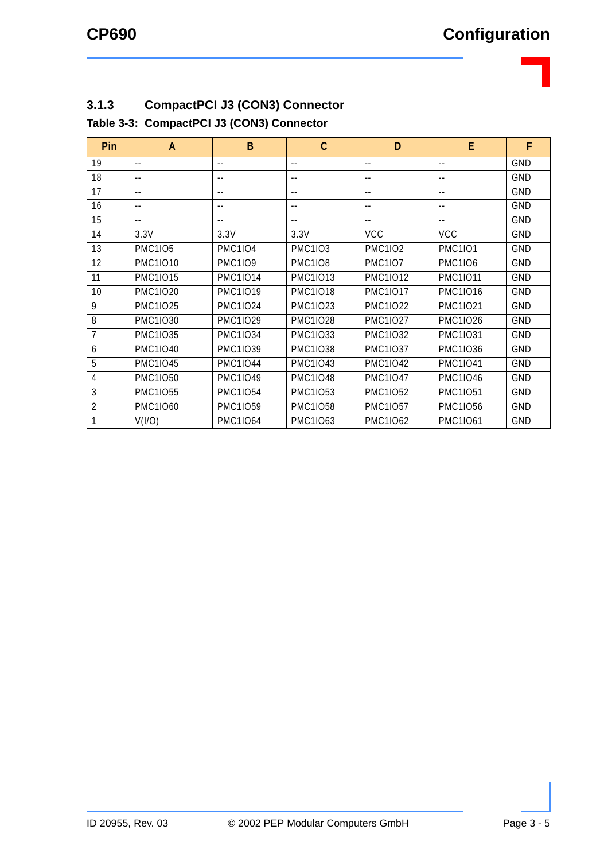

### <span id="page-36-0"></span>**3.1.3 CompactPCI J3 (CON3) Connector**

### <span id="page-36-1"></span>**Table 3-3: CompactPCI J3 (CON3) Connector**

| Pin            | A               | B                        | $\mathsf{C}$             | D                          | E               | F          |
|----------------|-----------------|--------------------------|--------------------------|----------------------------|-----------------|------------|
| 19             | $- -$           | $-$                      | $- -$                    | $\overline{\phantom{a}}$ . | $-$             | GND        |
| 18             | --              | $- -$                    | $ -$                     | $\overline{\phantom{a}}$ . | $ -$            | GND        |
| 17             | $\overline{a}$  | $\overline{\phantom{a}}$ | $\overline{\phantom{a}}$ | $ -$                       | $ -$            | GND        |
| 16             | $-$             | $ -$                     | $-$                      | $- -$                      | $- -$           | GND        |
| 15             | --              | $ -$                     | $\overline{\phantom{a}}$ | $-$                        |                 | GND        |
| 14             | 3.3V            | 3.3V                     | 3.3V                     | <b>VCC</b>                 | <b>VCC</b>      | <b>GND</b> |
| 13             | <b>PMC1IO5</b>  | <b>PMC1IO4</b>           | <b>PMC1IO3</b>           | <b>PMC1IO2</b>             | <b>PMC1IO1</b>  | GND        |
| 12             | PMC1IO10        | <b>PMC1IO9</b>           | <b>PMC1IO8</b>           | <b>PMC1IO7</b>             | <b>PMC1IO6</b>  | GND        |
| 11             | <b>PMC1IO15</b> | <b>PMC1IO14</b>          | PMC1I013                 | <b>PMC1IO12</b>            | <b>PMC1IO11</b> | GND        |
| 10             | <b>PMC1IO20</b> | PMC1I019                 | <b>PMC1IO18</b>          | <b>PMC1IO17</b>            | <b>PMC1IO16</b> | GND        |
| 9              | <b>PMC1IO25</b> | <b>PMC1IO24</b>          | <b>PMC1IO23</b>          | <b>PMC1IO22</b>            | PMC1I021        | GND        |
| 8              | PMC1I030        | <b>PMC1IO29</b>          | <b>PMC1IO28</b>          | <b>PMC1IO27</b>            | <b>PMC1IO26</b> | GND        |
| $\overline{1}$ | <b>PMC1IO35</b> | <b>PMC1IO34</b>          | PMC1I033                 | <b>PMC1IO32</b>            | PMC1I031        | GND        |
| 6              | <b>PMC1IO40</b> | PMC1I039                 | <b>PMC1IO38</b>          | <b>PMC1IO37</b>            | PMC1I036        | GND        |
| 5              | <b>PMC1IO45</b> | <b>PMC1IO44</b>          | <b>PMC1IO43</b>          | <b>PMC1IO42</b>            | <b>PMC1IO41</b> | GND        |
| 4              | <b>PMC1IO50</b> | <b>PMC1IO49</b>          | <b>PMC1IO48</b>          | <b>PMC1IO47</b>            | <b>PMC1IO46</b> | GND        |
| 3              | <b>PMC1IO55</b> | <b>PMC1IO54</b>          | <b>PMC1IO53</b>          | <b>PMC1IO52</b>            | <b>PMC1IO51</b> | GND        |
| 2              | PMC1IO60        | <b>PMC1IO59</b>          | <b>PMC1IO58</b>          | <b>PMC1IO57</b>            | <b>PMC1IO56</b> | GND        |
|                | V(1/O)          | <b>PMC1IO64</b>          | PMC1I063                 | <b>PMC1IO62</b>            | <b>PMC1IO61</b> | GND        |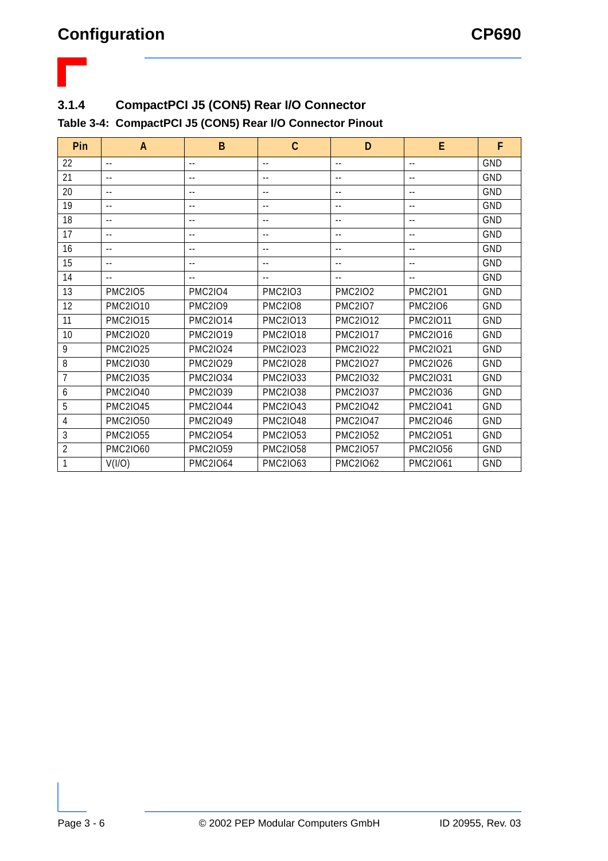

### <span id="page-37-0"></span>**3.1.4 CompactPCI J5 (CON5) Rear I/O Connector**

### <span id="page-37-1"></span>**Table 3-4: CompactPCI J5 (CON5) Rear I/O Connector Pinout**

| Pin            | A                          | B                          | $\mathsf{C}$    | D                          | E               | F          |
|----------------|----------------------------|----------------------------|-----------------|----------------------------|-----------------|------------|
| 22             | $\overline{a}$             | $\sim$ $\sim$              | $-$             | $\sim$ $\sim$              | $-$             | GND        |
| 21             | $-$                        | $\sim$ $\sim$              | $ -$            | $\overline{\phantom{a}}$ . | $ -$            | <b>GND</b> |
| 20             | $\overline{\phantom{a}}$ . | $\overline{\phantom{a}}$ . | $ -$            | $\overline{\phantom{a}}$ . | $ -$            | GND        |
| 19             | $\overline{\phantom{a}}$ . | $\overline{\phantom{a}}$ . | $ -$            | $\overline{\phantom{a}}$ . | $ -$            | GND        |
| 18             | $\overline{\phantom{a}}$ . | $\overline{\phantom{a}}$ . | $ -$            | $-$                        | $-$             | GND        |
| 17             | $\overline{\phantom{a}}$ . | $\sim$ $-$                 | $-$             | $-$                        | $-$             | GND        |
| 16             | $\overline{\phantom{a}}$ . | $\overline{\phantom{a}}$ . | $ -$            | $\overline{\phantom{a}}$ . | $ -$            | <b>GND</b> |
| 15             | $-$                        | $\sim$ $-$                 | $ -$            | $-$                        | $ -$            | GND        |
| 14             | $-$                        | $-$                        | $ -$            | $-$                        | $ -$            | GND        |
| 13             | <b>PMC2IO5</b>             | <b>PMC2IO4</b>             | <b>PMC2IO3</b>  | <b>PMC2IO2</b>             | <b>PMC2IO1</b>  | GND        |
| 12             | <b>PMC2IO10</b>            | <b>PMC2IO9</b>             | <b>PMC2IO8</b>  | <b>PMC2IO7</b>             | <b>PMC2IO6</b>  | GND        |
| 11             | <b>PMC2IO15</b>            | <b>PMC2IO14</b>            | PMC2IO13        | PMC2IO12                   | <b>PMC2IO11</b> | GND        |
| 10             | <b>PMC2IO20</b>            | <b>PMC2IO19</b>            | <b>PMC2IO18</b> | <b>PMC2IO17</b>            | PMC2IO16        | <b>GND</b> |
| 9              | <b>PMC2IO25</b>            | <b>PMC2IO24</b>            | <b>PMC2IO23</b> | <b>PMC2IO22</b>            | <b>PMC2IO21</b> | GND        |
| 8              | PMC2IO30                   | <b>PMC2IO29</b>            | <b>PMC2IO28</b> | <b>PMC2IO27</b>            | <b>PMC2IO26</b> | GND        |
| $\overline{1}$ | <b>PMC2IO35</b>            | PMC2IO34                   | PMC2IO33        | PMC2IO32                   | PMC2IO31        | GND        |
| 6              | <b>PMC2IO40</b>            | PMC2I039                   | <b>PMC2IO38</b> | <b>PMC2IO37</b>            | PMC2IO36        | GND        |
| 5              | <b>PMC2IO45</b>            | <b>PMC2IO44</b>            | <b>PMC2IO43</b> | <b>PMC2IO42</b>            | <b>PMC2IO41</b> | GND        |
| 4              | <b>PMC2IO50</b>            | <b>PMC2IO49</b>            | <b>PMC2IO48</b> | <b>PMC2IO47</b>            | <b>PMC2IO46</b> | <b>GND</b> |
| 3              | <b>PMC2IO55</b>            | <b>PMC2IO54</b>            | <b>PMC2IO53</b> | <b>PMC2IO52</b>            | <b>PMC2IO51</b> | GND        |
| $\overline{2}$ | PMC2IO60                   | <b>PMC2IO59</b>            | <b>PMC2IO58</b> | <b>PMC2IO57</b>            | <b>PMC2IO56</b> | GND        |
| 1              | V(1/O)                     | <b>PMC2IO64</b>            | PMC2IO63        | PMC2IO62                   | <b>PMC2IO61</b> | GND        |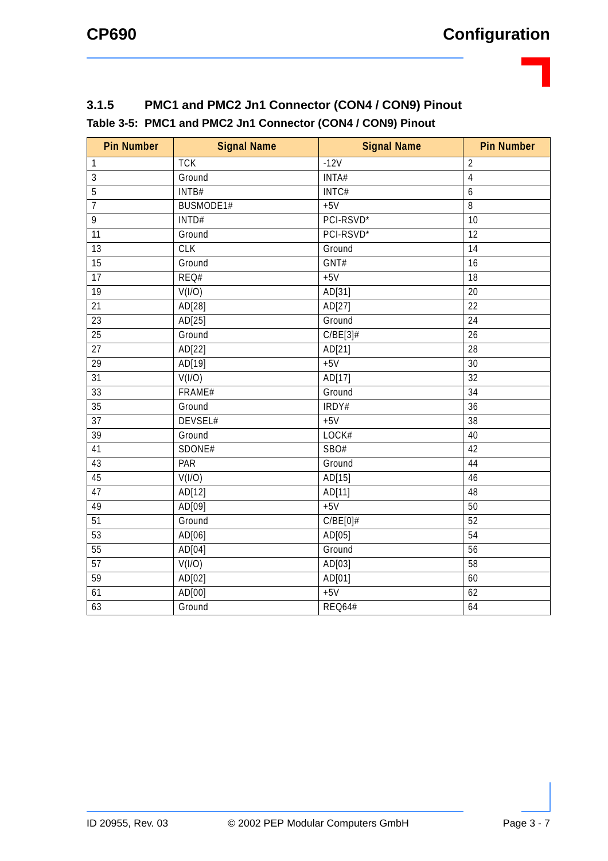

### <span id="page-38-0"></span>**3.1.5 PMC1 and PMC2 Jn1 Connector (CON4 / CON9) Pinout**

### <span id="page-38-1"></span>**Table 3-5: PMC1 and PMC2 Jn1 Connector (CON4 / CON9) Pinout**

| <b>Pin Number</b> | <b>Signal Name</b> | <b>Signal Name</b>    | <b>Pin Number</b> |
|-------------------|--------------------|-----------------------|-------------------|
| 1                 | <b>TCK</b>         | $-12V$                | $\overline{2}$    |
| $\overline{3}$    | Ground             | INTA#                 | $\overline{4}$    |
| 5                 | INTB#              | INTC#                 | 6                 |
| $\overline{7}$    | BUSMODE1#          | $+5V$                 | $\overline{8}$    |
| 9                 | INTD#              | PCI-RSVD*             | 10                |
| $\overline{11}$   | Ground             | PCI-RSVD <sup>*</sup> | $\overline{12}$   |
| 13                | <b>CLK</b>         | Ground                | $\overline{14}$   |
| 15                | Ground             | GNT#                  | $\overline{16}$   |
| 17                | REQ#               | $+5V$                 | 18                |
| $\overline{19}$   | V(1/O)             | AD[31]                | $\overline{20}$   |
| 21                | AD[28]             | AD[27]                | $\overline{22}$   |
| $\overline{23}$   | AD[25]             | Ground                | $\overline{24}$   |
| $\overline{25}$   | Ground             | $C/BE[3]\#$           | $\overline{26}$   |
| $\overline{27}$   | AD[22]             | AD[21]                | 28                |
| 29                | AD[19]             | $+5V$                 | $\overline{30}$   |
| 31                | V(1/O)             | AD[17]                | $\overline{32}$   |
| 33                | FRAME#             | Ground                | $\overline{34}$   |
| 35                | Ground             | IRDY#                 | 36                |
| $\overline{37}$   | DEVSEL#            | $+5V$                 | 38                |
| 39                | Ground             | LOCK#                 | 40                |
| 41                | SDONE#             | SBO#                  | 42                |
| 43                | PAR                | Ground                | 44                |
| 45                | V(1/O)             | AD[15]                | 46                |
| 47                | AD[12]             | AD[11]                | 48                |
| 49                | AD[09]             | $+5V$                 | 50                |
| $\overline{51}$   | Ground             | $C/BE[0]\#$           | $\overline{52}$   |
| 53                | AD[06]             | AD[05]                | $\overline{54}$   |
| $\overline{55}$   | AD[04]             | Ground                | $\overline{56}$   |
| 57                | V(1/O)             | AD[03]                | 58                |
| 59                | AD[02]             | AD[01]                | 60                |
| 61                | AD[00]             | $+5V$                 | 62                |
| 63                | Ground             | <b>REQ64#</b>         | 64                |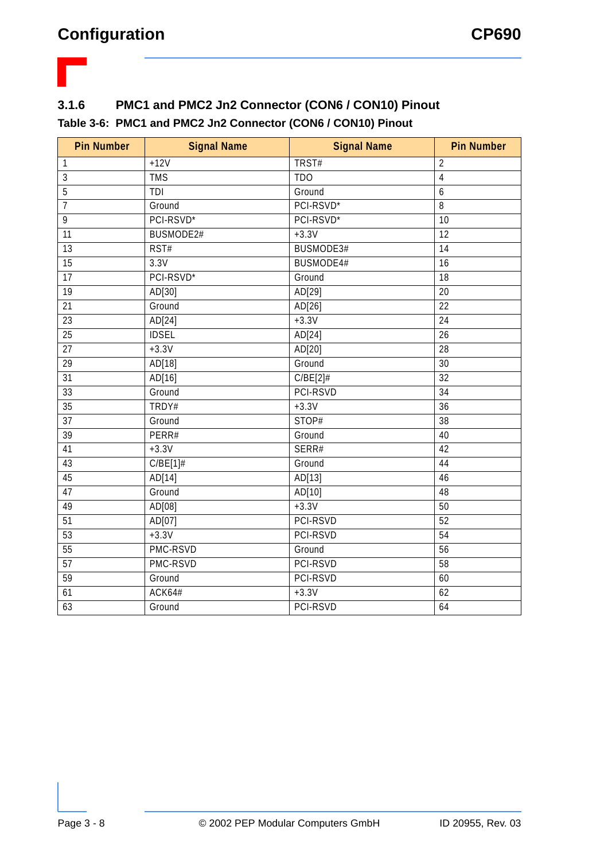

<span id="page-39-0"></span>**3.1.6 PMC1 and PMC2 Jn2 Connector (CON6 / CON10) Pinout**

### <span id="page-39-1"></span>**Table 3-6: PMC1 and PMC2 Jn2 Connector (CON6 / CON10) Pinout**

| <b>Pin Number</b> | <b>Signal Name</b> | <b>Signal Name</b> | <b>Pin Number</b> |
|-------------------|--------------------|--------------------|-------------------|
| $\mathbf{1}$      | $+12V$             | TRST#              | $\overline{2}$    |
| $\overline{3}$    | <b>TMS</b>         | T <sub>D</sub> O   | $\overline{4}$    |
| 5                 | TDI                | Ground             | 6                 |
| $\overline{1}$    | Ground             | PCI-RSVD*          | $\overline{8}$    |
| 9                 | PCI-RSVD*          | PCI-RSVD*          | 10                |
| 11                | BUSMODE2#          | $+3.3V$            | 12                |
| 13                | RST#               | BUSMODE3#          | 14                |
| $\overline{15}$   | 3.3V               | BUSMODE4#          | $\overline{16}$   |
| 17                | PCI-RSVD*          | Ground             | 18                |
| 19                | AD[30]             | AD[29]             | $\overline{20}$   |
| 21                | Ground             | AD[26]             | 22                |
| $\overline{23}$   | AD[24]             | $+3.3V$            | $\overline{24}$   |
| $\overline{25}$   | <b>IDSEL</b>       | AD[24]             | $\overline{26}$   |
| $\overline{27}$   | $+3.3V$            | AD[20]             | $\overline{28}$   |
| 29                | AD[18]             | Ground             | 30                |
| $\overline{31}$   | AD[16]             | $C/BE[2]\#$        | $\overline{32}$   |
| 33                | Ground             | PCI-RSVD           | $\overline{34}$   |
| 35                | TRDY#              | $+3.3V$            | 36                |
| $\overline{37}$   | Ground             | STOP#              | 38                |
| 39                | PERR#              | Ground             | 40                |
| 41                | $+3.3V$            | SERR#              | 42                |
| 43                | $C/BE[1]\#$        | Ground             | 44                |
| 45                | AD[14]             | AD[13]             | 46                |
| 47                | Ground             | AD[10]             | 48                |
| 49                | AD[08]             | $+3.3V$            | 50                |
| $\overline{51}$   | AD[07]             | PCI-RSVD           | 52                |
| 53                | $+3.3V$            | PCI-RSVD           | $\overline{54}$   |
| 55                | PMC-RSVD           | Ground             | 56                |
| 57                | PMC-RSVD           | PCI-RSVD           | 58                |
| 59                | Ground             | PCI-RSVD           | 60                |
| 61                | ACK64#             | $+3.3V$            | 62                |
| 63                | Ground             | PCI-RSVD           | 64                |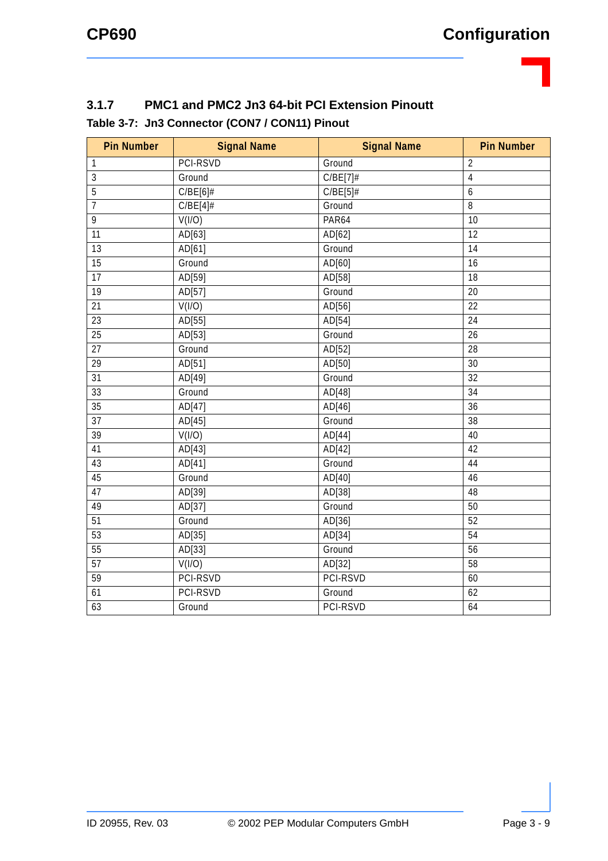

### <span id="page-40-0"></span>**3.1.7 PMC1 and PMC2 Jn3 64-bit PCI Extension Pinoutt**

### <span id="page-40-1"></span>**Table 3-7: Jn3 Connector (CON7 / CON11) Pinout**

| <b>Pin Number</b> | <b>Signal Name</b> | <b>Signal Name</b>       | <b>Pin Number</b> |
|-------------------|--------------------|--------------------------|-------------------|
| 1                 | PCI-RSVD           | Ground                   | $\overline{2}$    |
| $\overline{3}$    | Ground             | $\overline{C/BE[7]^{#}}$ | $\overline{4}$    |
| 5                 | $C/BE[6]\#$        | $C/BE[5]\#$              | $\boldsymbol{6}$  |
| $\overline{1}$    | $C/BE[4]\#$        | Ground                   | $\overline{8}$    |
| $\overline{9}$    | V(1/O)             | PAR64                    | $\overline{10}$   |
| $\overline{11}$   | AD[63]             | AD[62]                   | $\overline{12}$   |
| 13                | AD[61]             | Ground                   | 14                |
| $\overline{15}$   | Ground             | AD[60]                   | 16                |
| $\overline{17}$   | AD[59]             | AD[58]                   | 18                |
| 19                | AD[57]             | Ground                   | 20                |
| 21                | V(1/O)             | AD[56]                   | $\overline{22}$   |
| 23                | AD[55]             | AD[54]                   | 24                |
| $\overline{25}$   | AD[53]             | Ground                   | $\overline{26}$   |
| $\overline{27}$   | Ground             | AD[52]                   | 28                |
| 29                | AD[51]             | AD[50]                   | $\overline{30}$   |
| 31                | AD[49]             | Ground                   | $\overline{32}$   |
| 33                | Ground             | AD[48]                   | 34                |
| $\overline{35}$   | AD[47]             | AD[46]                   | $\overline{36}$   |
| $\overline{37}$   | AD[45]             | Ground                   | 38                |
| $\overline{39}$   | V(1/O)             | AD[44]                   | 40                |
| 41                | AD[43]             | AD[42]                   | 42                |
| 43                | AD[41]             | Ground                   | 44                |
| 45                | Ground             | AD[40]                   | 46                |
| 47                | AD[39]             | AD[38]                   | 48                |
| 49                | AD[37]             | Ground                   | 50                |
| $\overline{51}$   | Ground             | AD[36]                   | 52                |
| 53                | AD[35]             | AD[34]                   | 54                |
| $\overline{55}$   | AD[33]             | Ground                   | $\overline{56}$   |
| 57                | V(1/O)             | AD[32]                   | 58                |
| 59                | PCI-RSVD           | PCI-RSVD                 | 60                |
| 61                | PCI-RSVD           | Ground                   | 62                |
| 63                | Ground             | PCI-RSVD                 | 64                |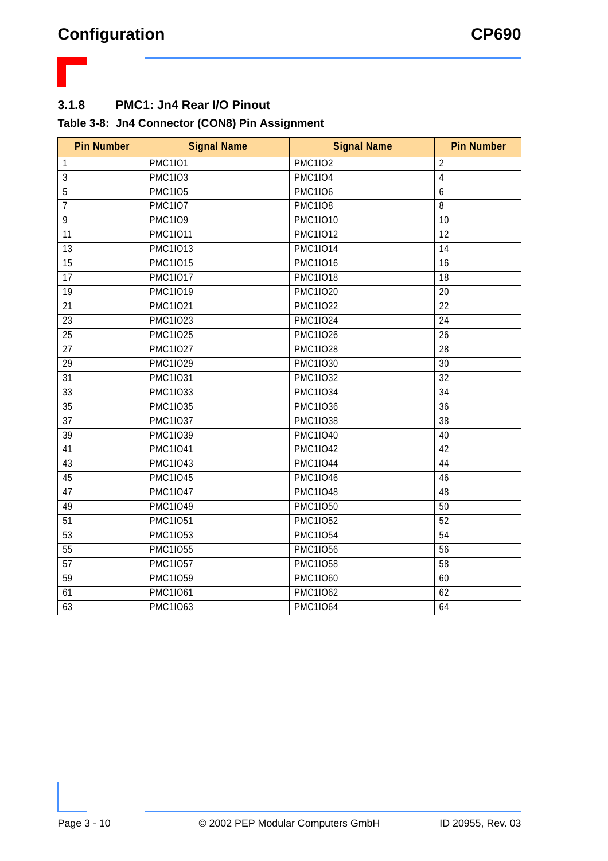

### <span id="page-41-0"></span>**3.1.8 PMC1: Jn4 Rear I/O Pinout**

### <span id="page-41-1"></span>**Table 3-8: Jn4 Connector (CON8) Pin Assignment**

| <b>Pin Number</b> | <b>Signal Name</b> | <b>Signal Name</b> | <b>Pin Number</b> |
|-------------------|--------------------|--------------------|-------------------|
| 1                 | <b>PMC1IO1</b>     | <b>PMC1IO2</b>     | $\overline{2}$    |
| 3                 | <b>PMC1IO3</b>     | <b>PMC1IO4</b>     | $\overline{4}$    |
| 5                 | <b>PMC1IO5</b>     | <b>PMC1IO6</b>     | 6                 |
| 7                 | <b>PMC1IO7</b>     | <b>PMC1IO8</b>     | $\overline{8}$    |
| 9                 | <b>PMC1IO9</b>     | <b>PMC1IO10</b>    | 10                |
| 11                | <b>PMC1IO11</b>    | <b>PMC1IO12</b>    | 12                |
| $\overline{13}$   | <b>PMC1IO13</b>    | <b>PMC1IO14</b>    | $\overline{14}$   |
| $\overline{15}$   | <b>PMC1IO15</b>    | <b>PMC1IO16</b>    | $\overline{16}$   |
| $\overline{17}$   | <b>PMC1IO17</b>    | <b>PMC1IO18</b>    | 18                |
| 19                | <b>PMC1IO19</b>    | <b>PMC1IO20</b>    | 20                |
| 21                | PMC1IO21           | <b>PMC1IO22</b>    | 22                |
| 23                | <b>PMC1IO23</b>    | <b>PMC1IO24</b>    | 24                |
| $\overline{25}$   | <b>PMC1IO25</b>    | <b>PMC1IO26</b>    | 26                |
| 27                | <b>PMC1IO27</b>    | <b>PMC1IO28</b>    | 28                |
| 29                | <b>PMC1IO29</b>    | PMC1IO30           | 30                |
| $\overline{31}$   | <b>PMC1IO31</b>    | <b>PMC1IO32</b>    | $\overline{32}$   |
| 33                | PMC1IO33           | <b>PMC1IO34</b>    | 34                |
| 35                | <b>PMC1IO35</b>    | <b>PMC1IO36</b>    | 36                |
| 37                | <b>PMC1IO37</b>    | <b>PMC1IO38</b>    | 38                |
| 39                | PMC1IO39           | <b>PMC1IO40</b>    | 40                |
| 41                | <b>PMC1IO41</b>    | <b>PMC1IO42</b>    | $\overline{42}$   |
| 43                | <b>PMC1IO43</b>    | <b>PMC1IO44</b>    | 44                |
| 45                | <b>PMC1IO45</b>    | <b>PMC1IO46</b>    | 46                |
| 47                | <b>PMC1IO47</b>    | <b>PMC1IO48</b>    | 48                |
| 49                | <b>PMC1IO49</b>    | <b>PMC1IO50</b>    | 50                |
| 51                | <b>PMC1IO51</b>    | <b>PMC1IO52</b>    | 52                |
| 53                | <b>PMC1IO53</b>    | <b>PMC1IO54</b>    | $\overline{54}$   |
| $\overline{55}$   | <b>PMC1IO55</b>    | <b>PMC1IO56</b>    | $\overline{56}$   |
| 57                | <b>PMC1IO57</b>    | <b>PMC1IO58</b>    | $\overline{58}$   |
| 59                | <b>PMC1IO59</b>    | <b>PMC1IO60</b>    | 60                |
| 61                | <b>PMC1IO61</b>    | <b>PMC1IO62</b>    | 62                |
| 63                | PMC1IO63           | <b>PMC1IO64</b>    | 64                |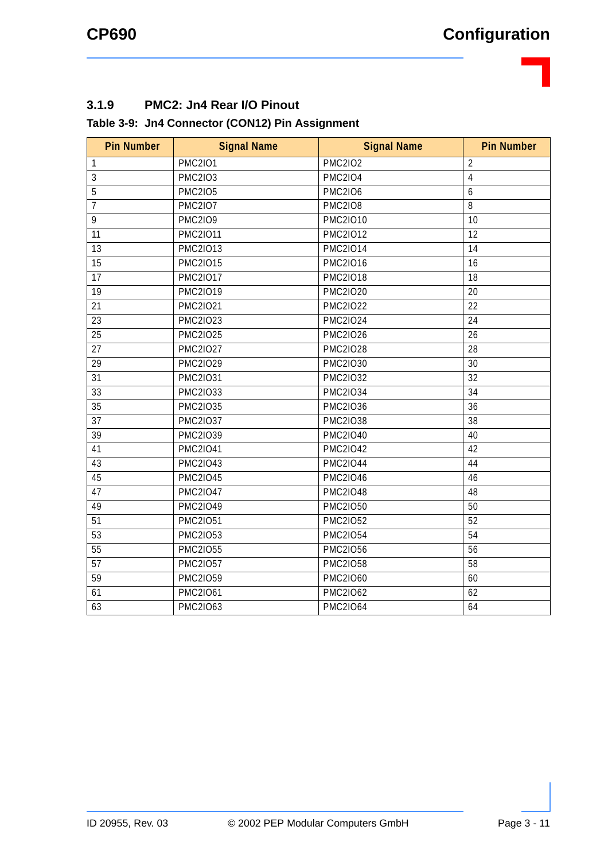

### <span id="page-42-0"></span>**3.1.9 PMC2: Jn4 Rear I/O Pinout**

### <span id="page-42-1"></span>**Table 3-9: Jn4 Connector (CON12) Pin Assignment**

| <b>Pin Number</b> | <b>Signal Name</b> | <b>Signal Name</b> | <b>Pin Number</b> |
|-------------------|--------------------|--------------------|-------------------|
| 1                 | <b>PMC2IO1</b>     | <b>PMC2IO2</b>     | $\overline{2}$    |
| 3                 | <b>PMC2IO3</b>     | <b>PMC2IO4</b>     | $\overline{4}$    |
| 5                 | <b>PMC2IO5</b>     | <b>PMC2IO6</b>     | 6                 |
| $\overline{1}$    | <b>PMC2IO7</b>     | <b>PMC2IO8</b>     | $\overline{8}$    |
| 9                 | <b>PMC2IO9</b>     | <b>PMC2IO10</b>    | 10                |
| 11                | <b>PMC2IO11</b>    | <b>PMC2IO12</b>    | 12                |
| $\overline{13}$   | <b>PMC2IO13</b>    | <b>PMC2IO14</b>    | $\overline{14}$   |
| 15                | <b>PMC2IO15</b>    | <b>PMC2IO16</b>    | 16                |
| 17                | <b>PMC2IO17</b>    | <b>PMC2IO18</b>    | 18                |
| $\overline{19}$   | <b>PMC2IO19</b>    | <b>PMC2IO20</b>    | $\overline{20}$   |
| 21                | <b>PMC2IO21</b>    | <b>PMC2IO22</b>    | $\overline{22}$   |
| 23                | <b>PMC2IO23</b>    | <b>PMC2IO24</b>    | 24                |
| 25                | <b>PMC2IO25</b>    | <b>PMC2IO26</b>    | 26                |
| 27                | <b>PMC2IO27</b>    | <b>PMC2IO28</b>    | 28                |
| 29                | <b>PMC2IO29</b>    | <b>PMC2IO30</b>    | 30                |
| 31                | <b>PMC2IO31</b>    | <b>PMC2IO32</b>    | $\overline{32}$   |
| 33                | <b>PMC2IO33</b>    | <b>PMC2IO34</b>    | 34                |
| 35                | <b>PMC2IO35</b>    | <b>PMC2IO36</b>    | 36                |
| $\overline{37}$   | <b>PMC2IO37</b>    | <b>PMC2IO38</b>    | 38                |
| 39                | <b>PMC2IO39</b>    | <b>PMC2IO40</b>    | 40                |
| 41                | <b>PMC2IO41</b>    | <b>PMC2IO42</b>    | 42                |
| 43                | <b>PMC2IO43</b>    | <b>PMC2IO44</b>    | 44                |
| 45                | <b>PMC2IO45</b>    | <b>PMC2IO46</b>    | 46                |
| $\overline{47}$   | <b>PMC2IO47</b>    | <b>PMC2IO48</b>    | 48                |
| 49                | <b>PMC2IO49</b>    | <b>PMC2IO50</b>    | 50                |
| 51                | <b>PMC2IO51</b>    | <b>PMC2IO52</b>    | 52                |
| 53                | <b>PMC2IO53</b>    | <b>PMC2IO54</b>    | 54                |
| $\overline{55}$   | <b>PMC2IO55</b>    | <b>PMC2IO56</b>    | 56                |
| $\overline{57}$   | <b>PMC2IO57</b>    | <b>PMC2IO58</b>    | 58                |
| 59                | <b>PMC2IO59</b>    | <b>PMC2IO60</b>    | 60                |
| 61                | <b>PMC2IO61</b>    | <b>PMC2IO62</b>    | 62                |
| 63                | <b>PMC2IO63</b>    | <b>PMC2IO64</b>    | 64                |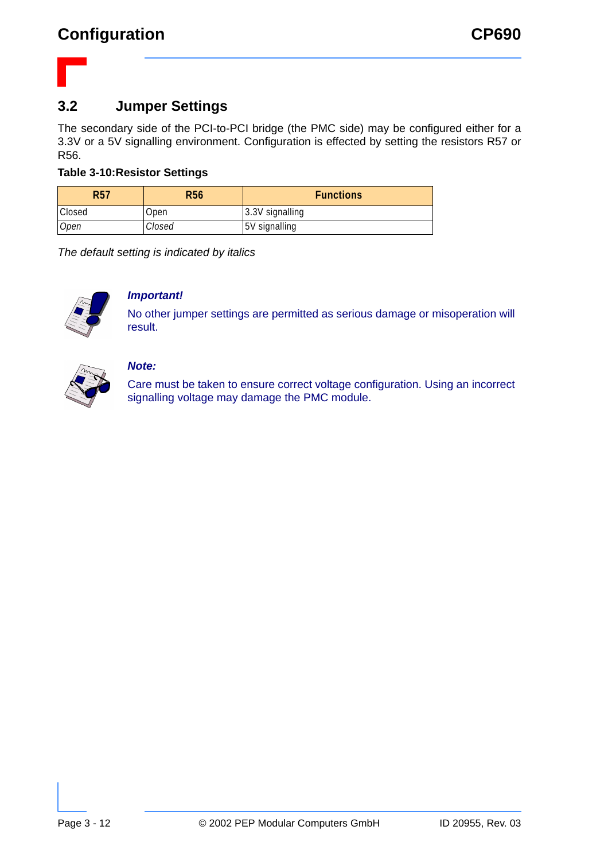

### <span id="page-43-0"></span>**3.2 Jumper Settings**

The secondary side of the PCI-to-PCI bridge (the PMC side) may be configured either for a 3.3V or a 5V signalling environment. Configuration is effected by setting the resistors R57 or R56.

#### **Table 3-10:Resistor Settings**

| <b>R57</b> | <b>R56</b> | <b>Functions</b> |
|------------|------------|------------------|
| Closed     | Open       | 3.3V signalling  |
| Open       | Closed     | 5V signalling    |

*The default setting is indicated by italics*



### *Important!*

No other jumper settings are permitted as serious damage or misoperation will result.



### *Note:*

Care must be taken to ensure correct voltage configuration. Using an incorrect signalling voltage may damage the PMC module.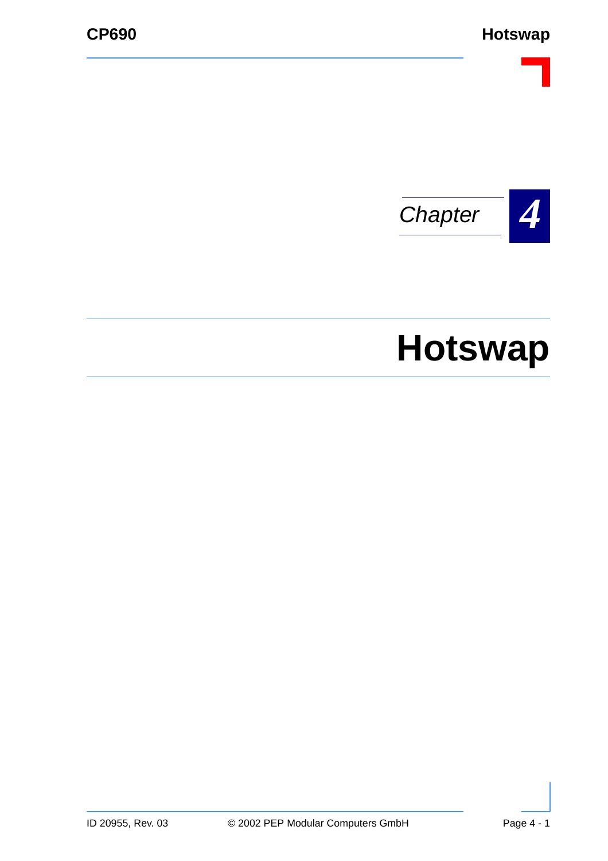

# **Hotswap**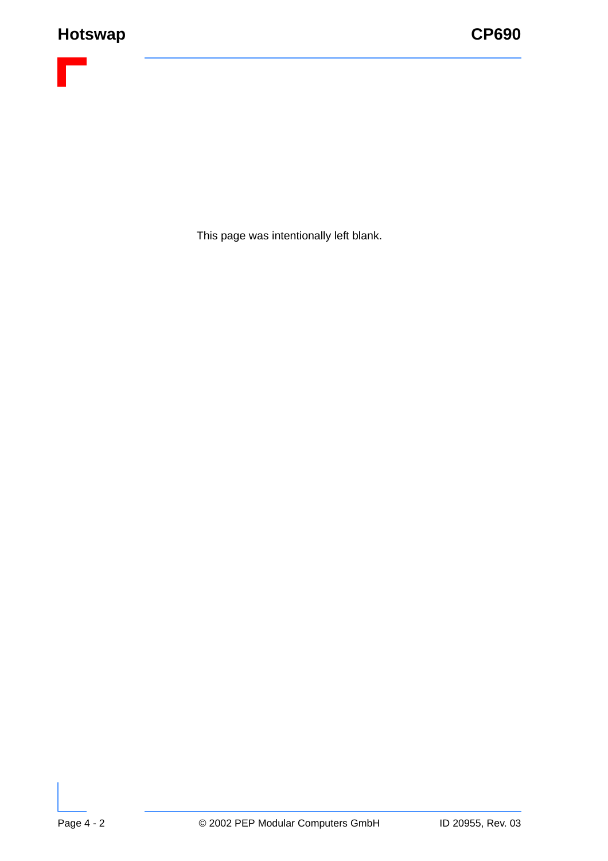

This page was intentionally left blank.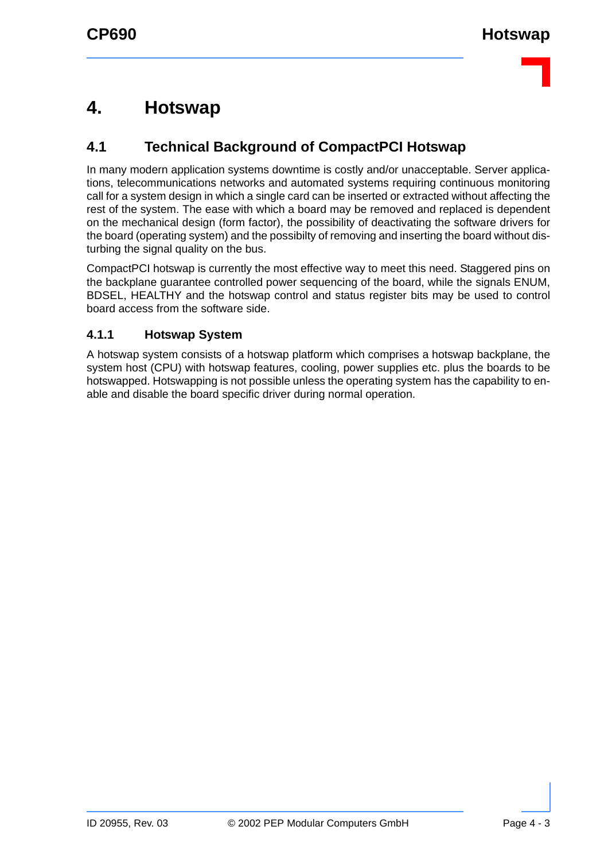

### <span id="page-46-0"></span>**4. Hotswap**

### <span id="page-46-1"></span>**4.1 Technical Background of CompactPCI Hotswap**

In many modern application systems downtime is costly and/or unacceptable. Server applications, telecommunications networks and automated systems requiring continuous monitoring call for a system design in which a single card can be inserted or extracted without affecting the rest of the system. The ease with which a board may be removed and replaced is dependent on the mechanical design (form factor), the possibility of deactivating the software drivers for the board (operating system) and the possibilty of removing and inserting the board without disturbing the signal quality on the bus.

CompactPCI hotswap is currently the most effective way to meet this need. Staggered pins on the backplane guarantee controlled power sequencing of the board, while the signals ENUM, BDSEL, HEALTHY and the hotswap control and status register bits may be used to control board access from the software side.

### <span id="page-46-2"></span>**4.1.1 Hotswap System**

A hotswap system consists of a hotswap platform which comprises a hotswap backplane, the system host (CPU) with hotswap features, cooling, power supplies etc. plus the boards to be hotswapped. Hotswapping is not possible unless the operating system has the capability to enable and disable the board specific driver during normal operation.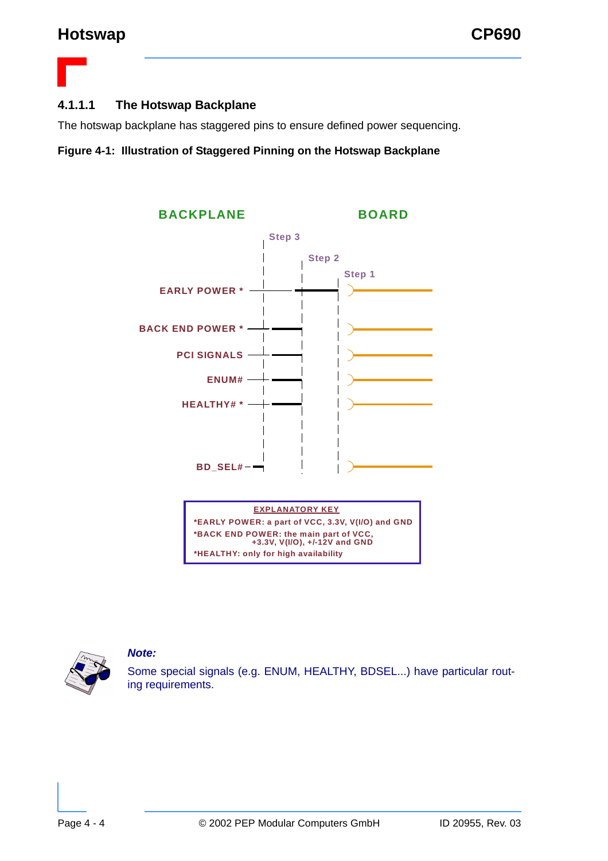### <span id="page-47-0"></span>**4.1.1.1 The Hotswap Backplane**

The hotswap backplane has staggered pins to ensure defined power sequencing.

<span id="page-47-1"></span>**Figure 4-1: Illustration of Staggered Pinning on the Hotswap Backplane** 





#### *Note:*

Some special signals (e.g. ENUM, HEALTHY, BDSEL...) have particular routing requirements.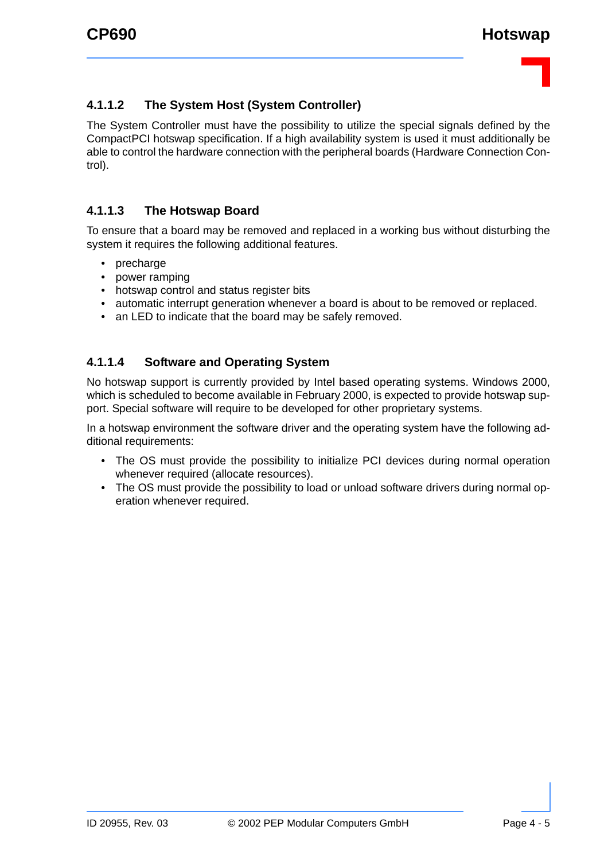### <span id="page-48-0"></span>**4.1.1.2 The System Host (System Controller)**

The System Controller must have the possibility to utilize the special signals defined by the CompactPCI hotswap specification. If a high availability system is used it must additionally be able to control the hardware connection with the peripheral boards (Hardware Connection Control).

### <span id="page-48-1"></span>**4.1.1.3 The Hotswap Board**

To ensure that a board may be removed and replaced in a working bus without disturbing the system it requires the following additional features.

- precharge
- power ramping
- hotswap control and status register bits
- automatic interrupt generation whenever a board is about to be removed or replaced.
- an LED to indicate that the board may be safely removed.

### <span id="page-48-2"></span>**4.1.1.4 Software and Operating System**

No hotswap support is currently provided by Intel based operating systems. Windows 2000, which is scheduled to become available in February 2000, is expected to provide hotswap support. Special software will require to be developed for other proprietary systems.

In a hotswap environment the software driver and the operating system have the following additional requirements:

- The OS must provide the possibility to initialize PCI devices during normal operation whenever required (allocate resources).
- The OS must provide the possibility to load or unload software drivers during normal operation whenever required.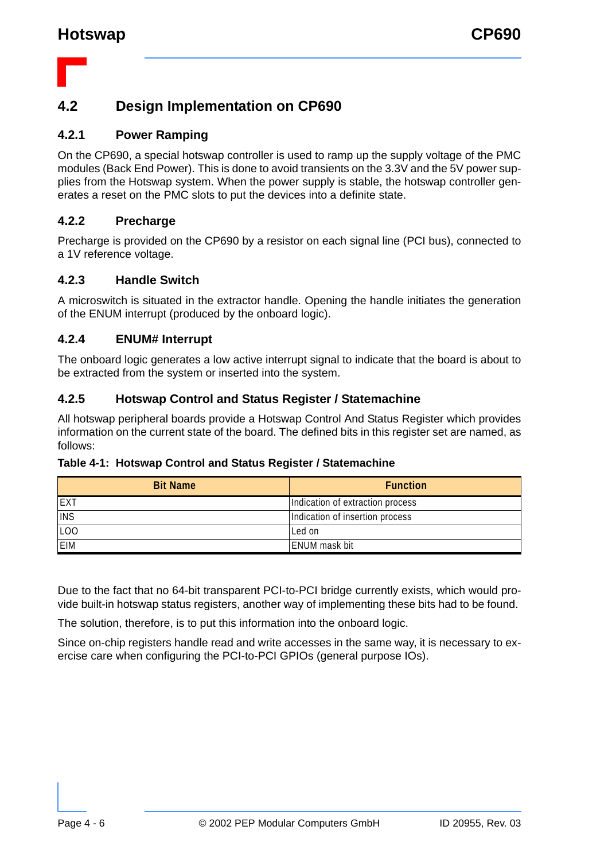### <span id="page-49-0"></span>**4.2 Design Implementation on CP690**

### <span id="page-49-1"></span>**4.2.1 Power Ramping**

On the CP690, a special hotswap controller is used to ramp up the supply voltage of the PMC modules (Back End Power). This is done to avoid transients on the 3.3V and the 5V power supplies from the Hotswap system. When the power supply is stable, the hotswap controller generates a reset on the PMC slots to put the devices into a definite state.

### <span id="page-49-2"></span>**4.2.2 Precharge**

Precharge is provided on the CP690 by a resistor on each signal line (PCI bus), connected to a 1V reference voltage.

### <span id="page-49-3"></span>**4.2.3 Handle Switch**

A microswitch is situated in the extractor handle. Opening the handle initiates the generation of the ENUM interrupt (produced by the onboard logic).

### <span id="page-49-4"></span>**4.2.4 ENUM# Interrupt**

The onboard logic generates a low active interrupt signal to indicate that the board is about to be extracted from the system or inserted into the system.

### <span id="page-49-5"></span>**4.2.5 Hotswap Control and Status Register / Statemachine**

All hotswap peripheral boards provide a Hotswap Control And Status Register which provides information on the current state of the board. The defined bits in this register set are named, as follows:

| <b>Bit Name</b> | <b>Function</b>                  |
|-----------------|----------------------------------|
| <b>EXT</b>      | Indication of extraction process |
| <b>INS</b>      | Indication of insertion process  |
| L <sub>00</sub> | Led on                           |
| <b>EIM</b>      | <b>ENUM</b> mask bit             |

#### <span id="page-49-6"></span>**Table 4-1: Hotswap Control and Status Register / Statemachine**

Due to the fact that no 64-bit transparent PCI-to-PCI bridge currently exists, which would provide built-in hotswap status registers, another way of implementing these bits had to be found.

The solution, therefore, is to put this information into the onboard logic.

Since on-chip registers handle read and write accesses in the same way, it is necessary to exercise care when configuring the PCI-to-PCI GPIOs (general purpose IOs).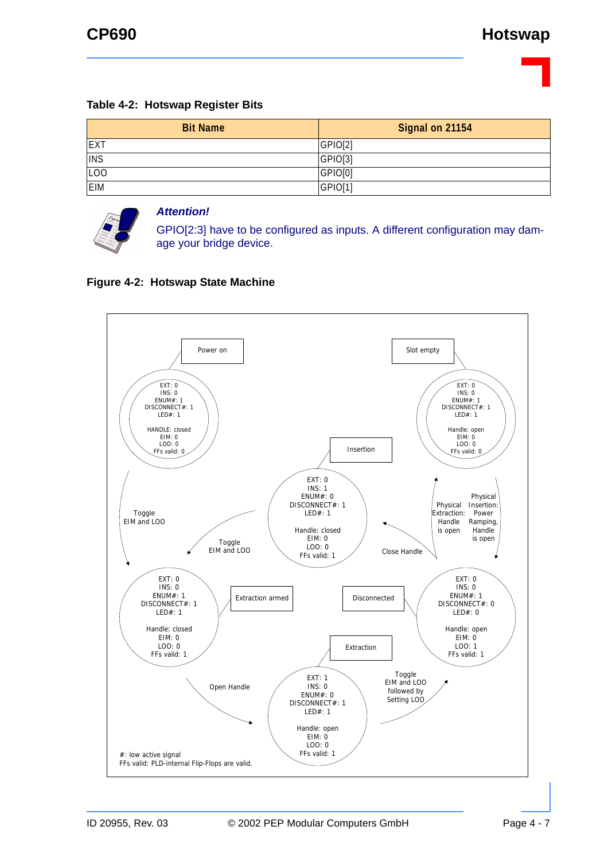#### <span id="page-50-0"></span>**Table 4-2: Hotswap Register Bits**

| <b>Bit Name</b> | Signal on 21154 |
|-----------------|-----------------|
| <b>EXT</b>      | GPIO[2]         |
| INS             | GPIO[3]         |
| LOO             | GPIO[0]         |
| <b>EIM</b>      | GPIO[1]         |



#### *Attention!*

GPIO[2:3] have to be configured as inputs. A different configuration may damage your bridge device.

### <span id="page-50-1"></span>**Figure 4-2: Hotswap State Machine**

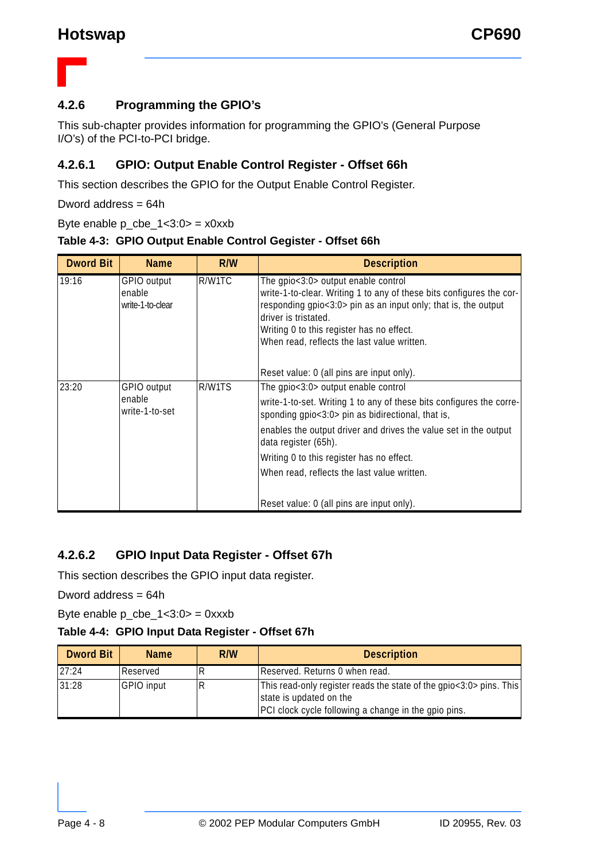### <span id="page-51-0"></span>**4.2.6 Programming the GPIO's**

This sub-chapter provides information for programming the GPIO's (General Purpose I/O's) of the PCI-to-PCI bridge.

### <span id="page-51-1"></span>**4.2.6.1 GPIO: Output Enable Control Register - Offset 66h**

This section describes the GPIO for the Output Enable Control Register.

Dword address  $= 64h$ 

Byte enable  $p\_cbe\_1<3:0>=x0xxb$ 

#### <span id="page-51-3"></span>**Table 4-3: GPIO Output Enable Control Gegister - Offset 66h**

| <b>Dword Bit</b> | <b>Name</b>                               | R/W    | <b>Description</b>                                                                                                                                                                                                                                                                                |
|------------------|-------------------------------------------|--------|---------------------------------------------------------------------------------------------------------------------------------------------------------------------------------------------------------------------------------------------------------------------------------------------------|
| 19:16            | GPIO output<br>enable<br>write-1-to-clear | R/W1TC | The gpio<3:0> output enable control<br>write-1-to-clear. Writing 1 to any of these bits configures the cor-<br>responding gpio<3:0> pin as an input only; that is, the output<br>driver is tristated.<br>Writing 0 to this register has no effect.<br>When read, reflects the last value written. |
|                  |                                           |        | Reset value: 0 (all pins are input only).                                                                                                                                                                                                                                                         |
| 23:20            | GPIO output<br>enable<br>write-1-to-set   | R/W1TS | The gpio<3:0> output enable control                                                                                                                                                                                                                                                               |
|                  |                                           |        | write-1-to-set. Writing 1 to any of these bits configures the corre-<br>sponding gpio<3:0> pin as bidirectional, that is,                                                                                                                                                                         |
|                  |                                           |        | enables the output driver and drives the value set in the output<br>data register (65h).                                                                                                                                                                                                          |
|                  |                                           |        | Writing 0 to this register has no effect.                                                                                                                                                                                                                                                         |
|                  |                                           |        | When read, reflects the last value written.                                                                                                                                                                                                                                                       |
|                  |                                           |        | Reset value: 0 (all pins are input only).                                                                                                                                                                                                                                                         |

### <span id="page-51-2"></span>**4.2.6.2 GPIO Input Data Register - Offset 67h**

This section describes the GPIO input data register.

Dword address  $= 64h$ 

Byte enable p\_cbe  $1 < 3:0 > 0$ xxxb

### <span id="page-51-4"></span>**Table 4-4: GPIO Input Data Register - Offset 67h**

| <b>Dword Bit</b> | <b>Name</b> | R/W | <b>Description</b>                                                                                                                                     |
|------------------|-------------|-----|--------------------------------------------------------------------------------------------------------------------------------------------------------|
| 27:24            | Reserved    |     | IReserved. Returns 0 when read.                                                                                                                        |
| 31:28            | GPIO input  |     | This read-only register reads the state of the gpio<3:0> pins. This<br>state is updated on the<br>PCI clock cycle following a change in the gpio pins. |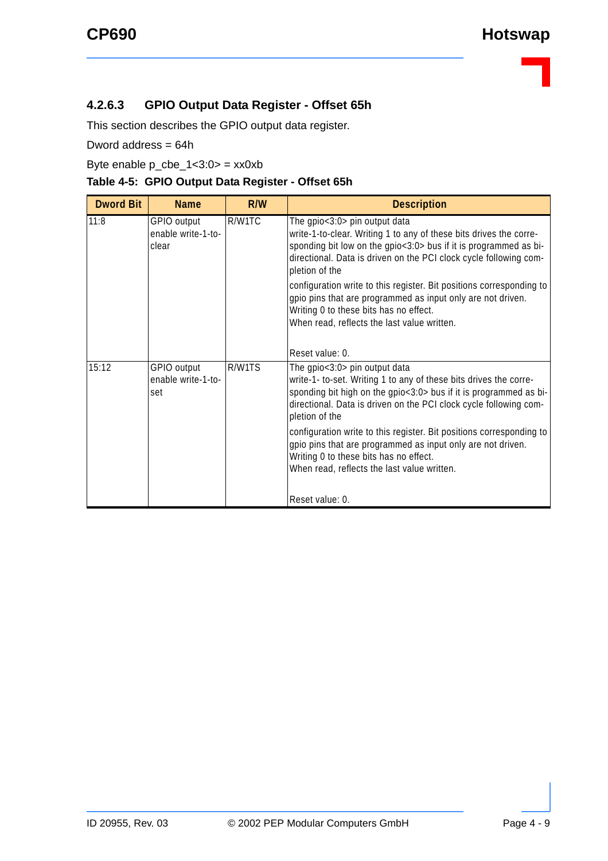### <span id="page-52-0"></span>**4.2.6.3 GPIO Output Data Register - Offset 65h**

This section describes the GPIO output data register.

#### Dword address = 64h

Byte enable  $p\_cbe\_1 < 3:0 > = x \times 0 \times b$ 

### <span id="page-52-1"></span>**Table 4-5: GPIO Output Data Register - Offset 65h**

| <b>Dword Bit</b> | <b>Name</b>                                | R/W    | <b>Description</b>                                                                                                                                                                                                                                             |
|------------------|--------------------------------------------|--------|----------------------------------------------------------------------------------------------------------------------------------------------------------------------------------------------------------------------------------------------------------------|
| 11:8             | GPIO output<br>enable write-1-to-<br>clear | R/W1TC | The gpio<3:0> pin output data<br>write-1-to-clear. Writing 1 to any of these bits drives the corre-<br>sponding bit low on the gpio<3:0> bus if it is programmed as bi-<br>directional. Data is driven on the PCI clock cycle following com-<br>pletion of the |
|                  |                                            |        | configuration write to this register. Bit positions corresponding to<br>gpio pins that are programmed as input only are not driven.<br>Writing 0 to these bits has no effect.<br>When read, reflects the last value written.                                   |
|                  |                                            |        | Reset value: 0.                                                                                                                                                                                                                                                |
| 15:12            | GPIO output<br>enable write-1-to-<br>set   | R/W1TS | The gpio<3:0> pin output data<br>write-1- to-set. Writing 1 to any of these bits drives the corre-<br>sponding bit high on the gpio<3:0> bus if it is programmed as bi-<br>directional. Data is driven on the PCI clock cycle following com-<br>pletion of the |
|                  |                                            |        | configuration write to this register. Bit positions corresponding to<br>gpio pins that are programmed as input only are not driven.<br>Writing 0 to these bits has no effect.<br>When read, reflects the last value written.                                   |
|                  |                                            |        | Reset value: 0.                                                                                                                                                                                                                                                |